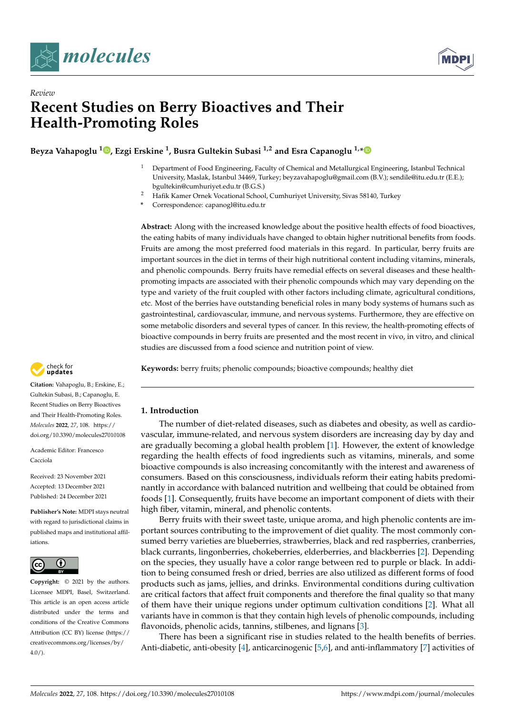

*Review*



# **Recent Studies on Berry Bioactives and Their Health-Promoting Roles**

**Beyza Vahapoglu [1](https://orcid.org/0000-0002-8422-0478) , Ezgi Erskine <sup>1</sup> , Busra Gultekin Subasi 1,2 and Esra Capanoglu 1,[\\*](https://orcid.org/0000-0003-0335-9433)**

- <sup>1</sup> Department of Food Engineering, Faculty of Chemical and Metallurgical Engineering, Istanbul Technical University, Maslak, Istanbul 34469, Turkey; beyzavahapoglu@gmail.com (B.V.); sendile@itu.edu.tr (E.E.); bgultekin@cumhuriyet.edu.tr (B.G.S.)
- <sup>2</sup> Hafik Kamer Ornek Vocational School, Cumhuriyet University, Sivas 58140, Turkey
- **\*** Correspondence: capanogl@itu.edu.tr

**Abstract:** Along with the increased knowledge about the positive health effects of food bioactives, the eating habits of many individuals have changed to obtain higher nutritional benefits from foods. Fruits are among the most preferred food materials in this regard. In particular, berry fruits are important sources in the diet in terms of their high nutritional content including vitamins, minerals, and phenolic compounds. Berry fruits have remedial effects on several diseases and these healthpromoting impacts are associated with their phenolic compounds which may vary depending on the type and variety of the fruit coupled with other factors including climate, agricultural conditions, etc. Most of the berries have outstanding beneficial roles in many body systems of humans such as gastrointestinal, cardiovascular, immune, and nervous systems. Furthermore, they are effective on some metabolic disorders and several types of cancer. In this review, the health-promoting effects of bioactive compounds in berry fruits are presented and the most recent in vivo, in vitro, and clinical studies are discussed from a food science and nutrition point of view.

**Keywords:** berry fruits; phenolic compounds; bioactive compounds; healthy diet

# **1. Introduction**

The number of diet-related diseases, such as diabetes and obesity, as well as cardiovascular, immune-related, and nervous system disorders are increasing day by day and are gradually becoming a global health problem [\[1\]](#page-15-0). However, the extent of knowledge regarding the health effects of food ingredients such as vitamins, minerals, and some bioactive compounds is also increasing concomitantly with the interest and awareness of consumers. Based on this consciousness, individuals reform their eating habits predominantly in accordance with balanced nutrition and wellbeing that could be obtained from foods [\[1\]](#page-15-0). Consequently, fruits have become an important component of diets with their high fiber, vitamin, mineral, and phenolic contents.

Berry fruits with their sweet taste, unique aroma, and high phenolic contents are important sources contributing to the improvement of diet quality. The most commonly consumed berry varieties are blueberries, strawberries, black and red raspberries, cranberries, black currants, lingonberries, chokeberries, elderberries, and blackberries [\[2\]](#page-15-1). Depending on the species, they usually have a color range between red to purple or black. In addition to being consumed fresh or dried, berries are also utilized as different forms of food products such as jams, jellies, and drinks. Environmental conditions during cultivation are critical factors that affect fruit components and therefore the final quality so that many of them have their unique regions under optimum cultivation conditions [\[2\]](#page-15-1). What all variants have in common is that they contain high levels of phenolic compounds, including flavonoids, phenolic acids, tannins, stilbenes, and lignans [\[3\]](#page-15-2).

There has been a significant rise in studies related to the health benefits of berries. Anti-diabetic, anti-obesity [\[4\]](#page-15-3), anticarcinogenic [\[5,](#page-15-4)[6\]](#page-15-5), and anti-inflammatory [\[7\]](#page-16-0) activities of



**Citation:** Vahapoglu, B.; Erskine, E.; Gultekin Subasi, B.; Capanoglu, E. Recent Studies on Berry Bioactives and Their Health-Promoting Roles. *Molecules* **2022**, *27*, 108. [https://](https://doi.org/10.3390/molecules27010108) [doi.org/10.3390/molecules27010108](https://doi.org/10.3390/molecules27010108)

Academic Editor: Francesco Cacciola

Received: 23 November 2021 Accepted: 13 December 2021 Published: 24 December 2021

**Publisher's Note:** MDPI stays neutral with regard to jurisdictional claims in published maps and institutional affiliations.



**Copyright:** © 2021 by the authors. Licensee MDPI, Basel, Switzerland. This article is an open access article distributed under the terms and conditions of the Creative Commons Attribution (CC BY) license [\(https://](https://creativecommons.org/licenses/by/4.0/) [creativecommons.org/licenses/by/](https://creativecommons.org/licenses/by/4.0/)  $4.0/$ ).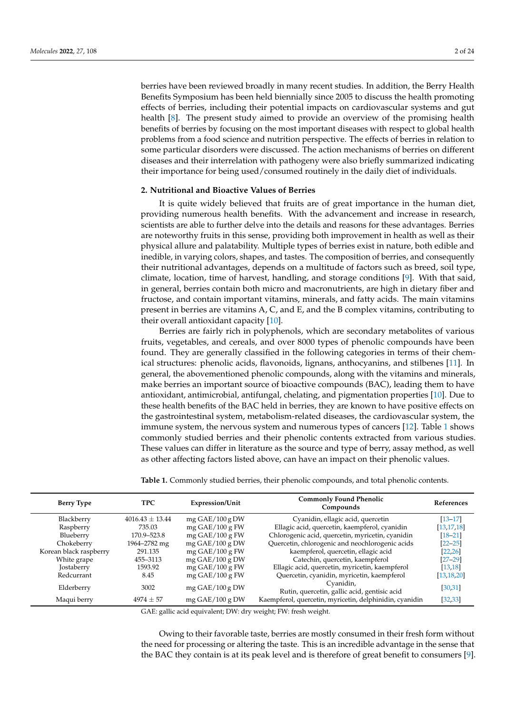berries have been reviewed broadly in many recent studies. In addition, the Berry Health Benefits Symposium has been held biennially since 2005 to discuss the health promoting effects of berries, including their potential impacts on cardiovascular systems and gut health [\[8\]](#page-16-1). The present study aimed to provide an overview of the promising health benefits of berries by focusing on the most important diseases with respect to global health problems from a food science and nutrition perspective. The effects of berries in relation to some particular disorders were discussed. The action mechanisms of berries on different diseases and their interrelation with pathogeny were also briefly summarized indicating their importance for being used/consumed routinely in the daily diet of individuals.

# **2. Nutritional and Bioactive Values of Berries**

It is quite widely believed that fruits are of great importance in the human diet, providing numerous health benefits. With the advancement and increase in research, scientists are able to further delve into the details and reasons for these advantages. Berries are noteworthy fruits in this sense, providing both improvement in health as well as their physical allure and palatability. Multiple types of berries exist in nature, both edible and inedible, in varying colors, shapes, and tastes. The composition of berries, and consequently their nutritional advantages, depends on a multitude of factors such as breed, soil type, climate, location, time of harvest, handling, and storage conditions [\[9\]](#page-16-2). With that said, in general, berries contain both micro and macronutrients, are high in dietary fiber and fructose, and contain important vitamins, minerals, and fatty acids. The main vitamins present in berries are vitamins A, C, and E, and the B complex vitamins, contributing to their overall antioxidant capacity [\[10\]](#page-16-3).

Berries are fairly rich in polyphenols, which are secondary metabolites of various fruits, vegetables, and cereals, and over 8000 types of phenolic compounds have been found. They are generally classified in the following categories in terms of their chemical structures: phenolic acids, flavonoids, lignans, anthocyanins, and stilbenes [\[11\]](#page-16-4). In general, the abovementioned phenolic compounds, along with the vitamins and minerals, make berries an important source of bioactive compounds (BAC), leading them to have antioxidant, antimicrobial, antifungal, chelating, and pigmentation properties [\[10\]](#page-16-3). Due to these health benefits of the BAC held in berries, they are known to have positive effects on the gastrointestinal system, metabolism-related diseases, the cardiovascular system, the immune system, the nervous system and numerous types of cancers [\[12\]](#page-16-5). Table [1](#page-1-0) shows commonly studied berries and their phenolic contents extracted from various studies. These values can differ in literature as the source and type of berry, assay method, as well as other affecting factors listed above, can have an impact on their phenolic values.

<span id="page-1-0"></span>

| <b>Berry Type</b>      | <b>TPC</b>          | <b>Expression/Unit</b> | <b>Commonly Found Phenolic</b><br>Compounds               | <b>References</b> |
|------------------------|---------------------|------------------------|-----------------------------------------------------------|-------------------|
| Blackberry             | $4016.43 \pm 13.44$ | $mg$ GAE/100 g DW      | Cyanidin, ellagic acid, quercetin                         | $[13 - 17]$       |
| Raspberry              | 735.03              | $mg$ GAE/100 g FW      | Ellagic acid, quercetin, kaempferol, cyanidin             | [13, 17, 18]      |
| Blueberry              | 170.9-523.8         | mg $GAE/100$ g FW      | Chlorogenic acid, quercetin, myricetin, cyanidin          | $[18 - 21]$       |
| Chokeberry             | 1964–2782 mg        | $mg$ GAE/100 g DW      | Quercetin, chlorogenic and neochlorogenic acids           | $[22 - 25]$       |
| Korean black raspberry | 291.135             | $mg$ GAE/100 g FW      | kaempferol, quercetin, ellagic acid                       | [22, 26]          |
| White grape            | 455-3113            | $mg$ GAE/100 g DW      | Catechin, quercetin, kaempferol                           | $[27 - 29]$       |
| <b>Jostaberry</b>      | 1593.92             | mg $GAE/100$ g FW      | Ellagic acid, quercetin, myricetin, kaempferol            | [13, 18]          |
| Redcurrant             | 8.45                | mg $GAE/100$ g FW      | Quercetin, cyanidin, myricetin, kaempferol                | [13, 18, 20]      |
| Elderberry             | 3002                | $mg$ GAE/100 g DW      | Cyanidin,<br>Rutin, quercetin, gallic acid, gentisic acid | [30, 31]          |
| Maqui berry            | $4974 + 57$         | $mg$ GAE/100 g DW      | Kaempferol, quercetin, myricetin, delphinidin, cyanidin   | [32, 33]          |

GAE: gallic acid equivalent; DW: dry weight; FW: fresh weight.

Owing to their favorable taste, berries are mostly consumed in their fresh form without the need for processing or altering the taste. This is an incredible advantage in the sense that the BAC they contain is at its peak level and is therefore of great benefit to consumers [\[9\]](#page-16-2).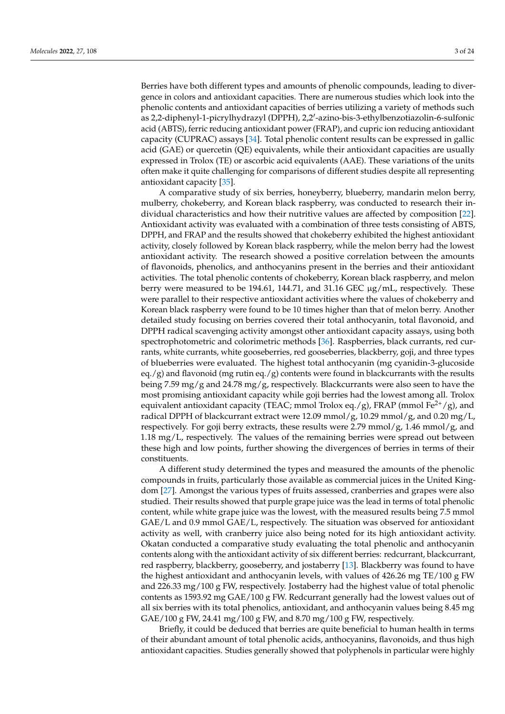Berries have both different types and amounts of phenolic compounds, leading to divergence in colors and antioxidant capacities. There are numerous studies which look into the phenolic contents and antioxidant capacities of berries utilizing a variety of methods such as 2,2-diphenyl-1-picrylhydrazyl (DPPH), 2,2'-azino-bis-3-ethylbenzotiazolin-6-sulfonic acid (ABTS), ferric reducing antioxidant power (FRAP), and cupric ion reducing antioxidant capacity (CUPRAC) assays [\[34\]](#page-17-0). Total phenolic content results can be expressed in gallic acid (GAE) or quercetin (QE) equivalents, while their antioxidant capacities are usually expressed in Trolox (TE) or ascorbic acid equivalents (AAE). These variations of the units often make it quite challenging for comparisons of different studies despite all representing antioxidant capacity [\[35\]](#page-17-1).

A comparative study of six berries, honeyberry, blueberry, mandarin melon berry, mulberry, chokeberry, and Korean black raspberry, was conducted to research their individual characteristics and how their nutritive values are affected by composition [\[22\]](#page-16-10). Antioxidant activity was evaluated with a combination of three tests consisting of ABTS, DPPH, and FRAP and the results showed that chokeberry exhibited the highest antioxidant activity, closely followed by Korean black raspberry, while the melon berry had the lowest antioxidant activity. The research showed a positive correlation between the amounts of flavonoids, phenolics, and anthocyanins present in the berries and their antioxidant activities. The total phenolic contents of chokeberry, Korean black raspberry, and melon berry were measured to be 194.61, 144.71, and 31.16 GEC µg/mL, respectively. These were parallel to their respective antioxidant activities where the values of chokeberry and Korean black raspberry were found to be 10 times higher than that of melon berry. Another detailed study focusing on berries covered their total anthocyanin, total flavonoid, and DPPH radical scavenging activity amongst other antioxidant capacity assays, using both spectrophotometric and colorimetric methods [\[36\]](#page-17-2). Raspberries, black currants, red currants, white currants, white gooseberries, red gooseberries, blackberry, goji, and three types of blueberries were evaluated. The highest total anthocyanin (mg cyanidin-3-glucoside eq./g) and flavonoid (mg rutin eq./g) contents were found in blackcurrants with the results being 7.59 mg/g and 24.78 mg/g, respectively. Blackcurrants were also seen to have the most promising antioxidant capacity while goji berries had the lowest among all. Trolox equivalent antioxidant capacity (TEAC; mmol Trolox eq./g), FRAP (mmol Fe<sup>2+</sup>/g), and radical DPPH of blackcurrant extract were 12.09 mmol/g, 10.29 mmol/g, and 0.20 mg/L, respectively. For goji berry extracts, these results were 2.79 mmol/g, 1.46 mmol/g, and 1.18 mg/L, respectively. The values of the remaining berries were spread out between these high and low points, further showing the divergences of berries in terms of their constituents.

A different study determined the types and measured the amounts of the phenolic compounds in fruits, particularly those available as commercial juices in the United Kingdom [\[27\]](#page-16-13). Amongst the various types of fruits assessed, cranberries and grapes were also studied. Their results showed that purple grape juice was the lead in terms of total phenolic content, while white grape juice was the lowest, with the measured results being 7.5 mmol GAE/L and 0.9 mmol GAE/L, respectively. The situation was observed for antioxidant activity as well, with cranberry juice also being noted for its high antioxidant activity. Okatan conducted a comparative study evaluating the total phenolic and anthocyanin contents along with the antioxidant activity of six different berries: redcurrant, blackcurrant, red raspberry, blackberry, gooseberry, and jostaberry [\[13\]](#page-16-6). Blackberry was found to have the highest antioxidant and anthocyanin levels, with values of 426.26 mg TE/100 g FW and 226.33 mg/100 g FW, respectively. Jostaberry had the highest value of total phenolic contents as 1593.92 mg GAE/100 g FW. Redcurrant generally had the lowest values out of all six berries with its total phenolics, antioxidant, and anthocyanin values being 8.45 mg GAE/100 g FW, 24.41 mg/100 g FW, and 8.70 mg/100 g FW, respectively.

Briefly, it could be deduced that berries are quite beneficial to human health in terms of their abundant amount of total phenolic acids, anthocyanins, flavonoids, and thus high antioxidant capacities. Studies generally showed that polyphenols in particular were highly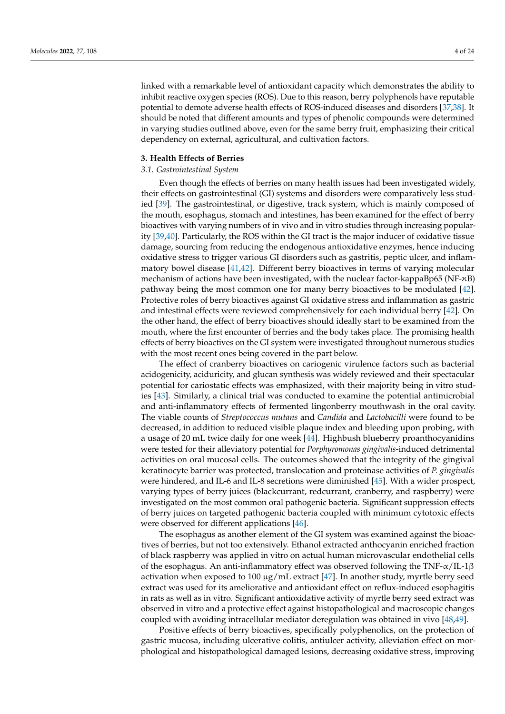linked with a remarkable level of antioxidant capacity which demonstrates the ability to inhibit reactive oxygen species (ROS). Due to this reason, berry polyphenols have reputable potential to demote adverse health effects of ROS-induced diseases and disorders [\[37,](#page-17-3)[38\]](#page-17-4). It extract was used that different amounts and types of phenolic compounds were determined In varying studies outlined above, even for the same berry fruit, emphasizing their critical dependency on external, agricultural, and cultivation factors.  $w_i$  in vitro and a protective effect and material and material and material and material and material and material and material and material and material and material and material and material and material and material a  $\overline{\text{c}}$ 

#### **3. Health Effects of Berries**

#### *3.1. Gastrointestinal System*

Even though the effects of berries on many health issues had been investigated widely, their effects on gastrointestinal (GI) systems and disorders were comparatively less stud-ied [\[39\]](#page-17-5). The gastrointestinal, or digestive, track system, which is mainly composed of the mouth, esophagus, stomach and intestines, has been examined for the effect of berry bioactives with varying numbers of in vivo and in vitro studies through increasing popular-ity [\[39,](#page-17-5)[40\]](#page-17-6). Particularly, the ROS within the GI tract is the major inducer of oxidative tissue damage, sourcing from reducing the endogenous antioxidative enzymes, hence inducing oxidative stress to trigger various GI disorders such as gastritis, peptic ulcer, and inflam-matory bowel disease [\[41,](#page-17-7)[42\]](#page-17-8). Different berry bioactives in terms of varying molecular mechanism of actions have been investigated, with the nuclear factor-kappaBp65 (NF- $\varkappa$ B) gastric mucosa, including ulcerative colitis, antiulcer activity, alleviation effect on morpathway being the most common one for many berry bioactives to be modulated [42]. Protective roles of berry bioactives against GI oxidative stress and inflammation as gastric and intestinal effects were reviewed comprehensively for each individual berry [42]. On the other hand, the effect of berry bioactives should ideally start to be examined from the mouth, where the first encounter of berries and the body takes place. The promising health effects of berry bioactives on the GI system were investigated throughout numerous studies  $\alpha$ . Significant decrease in ulcers index, malondial decrease in ulcer index, malondial decrease in ulcer index, malondial decrease in ulcer index, malondial decrease in ulcer index, malondial decrease in ulcer index, ma with the most recent ones being covered in the part below.

The effect of cranberry bioactives on cariogenic virulence factors such as bacterial acidogenicity, aciduricity, and glucan synthesis was widely reviewed and their spectacular potential for cariostatic effects was emphasized, with their majority being in vitro stud-ies [\[43\]](#page-17-9). Similarly, a clinical trial was conducted to examine the potential antimicrobial and anti-inflammatory effects of fermented lingonberry mouthwash in the oral cavity. The viable counts of *Streptococcus mutans* and *Candida* and *Lactobacilli* were found to be even there evalue of the propression minimum and entiremental and environment of the collection of the decreased, in addition to reduced visible plaque index and bleeding upon probing, with a usage of 20 mL twice daily for one week [\[44\]](#page-17-10). Highbush blueberry proanthocyanidins a dedge of 20 mln twice dany for one week [11]. Thenedent enderestry producted detrimental<br>were tested for their alleviatory potential for *Porphyromonas gingivalis*-induced detrimental  $\frac{1}{5}$   $\frac{1}{5}$ . Another gastroprotective studies study of black choice alcoholic extract on  $\frac{1}{5}$ activities on oral mucosal cells. The outcomes showed that the integrity of the gingival<br>discussion was objected and significant in the integrity of the gingival integrity of the gingival integration keratinocyte barrier was protected, translocation and proteinase activities of *P. gingivalis*<br> were hindered, and IL-6 and IL-8 secretions were diminished  $[45]$ . With a wider prospect, varying types of berry juices (blackcurrant, redcurrant, cranberry, and raspberry) were investigated on the most common oral pathogenic bacteria. Significant suppression effects of berry juices on targeted pathogenic bacteria coupled with minimum cytotoxic effects were observed for different applications [\[46\]](#page-17-12).

The esophagus as another element of the GI system was examined against the bioactives of berries, but not too extensively. Ethanol extracted anthocyanin enriched fraction of black raspberry was applied in vitro on actual human microvascular endothelial cells of the esophagus. An anti-inflammatory effect was observed following the TNF- $\alpha$ /IL-1β activation when exposed to 100  $\mu$ g/mL extract [\[47\]](#page-17-13). In another study, myrtle berry seed extract was used for its ameliorative and antioxidant effect on reflux-induced esophagitis in rats as well as in vitro. Significant antioxidative activity of myrtle berry seed extract was observed in vitro and a protective effect against histopathological and macroscopic changes coupled with avoiding intracellular mediator deregulation was obtained in vivo [\[48](#page-17-14)[,49\]](#page-17-15).

Positive effects of berry bioactives, specifically polyphenolics, on the protection of gastric mucosa, including ulcerative colitis, antiulcer activity, alleviation effect on morphological and histopathological damaged lesions, decreasing oxidative stress, improving

The estimation as another element of the GI system was examined against the GI system was examined against the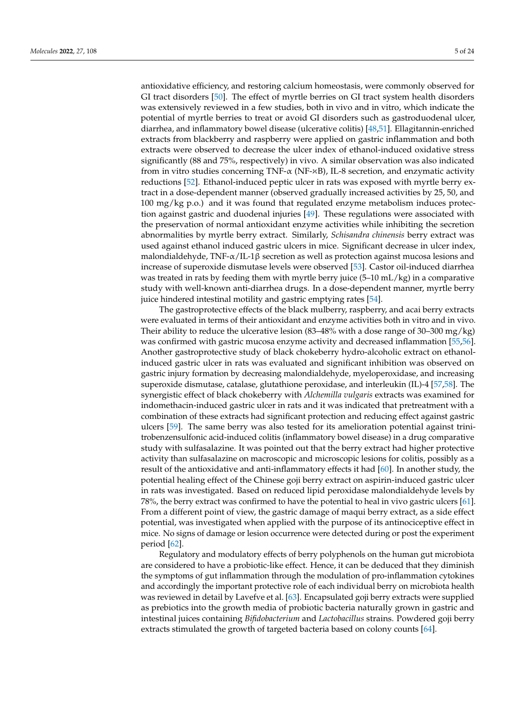antioxidative efficiency, and restoring calcium homeostasis, were commonly observed for antioxidative efficiency, and restoring calcium homeostasis, were commonly observed for GI tract disorders [\[50\]](#page-17-16). The effect of myrtle berries on GI tract system health disorders GI tract disorders [50]. The effect of myrtle berries on GI tract system health disorders was was extensively reviewed in a few studies, both in vivo and in vitro, which indicate the potential of myrtle berries to treat or avoid GI disorders such as gastroduodenal ulcer, diarrhea, and inflammatory bowel disease (ulcerative colitis) [\[48,](#page-17-14)[51\]](#page-17-17). Ellagitannin-enriched extracts from blackberry and raspberry were applied on gastric inflammation and both extracts were observed to decrease the ulcer index of ethanol-induced oxidative stress significantly (88 and 75%, respectively) in vivo. A similar observation was also indicated from in vitro studies concerning TNF-α (NF-¤B), IL-8 secretion, and enzymatic activity phological and histopathological damaged lesions, decreasing oxidative stress, improving reductions [\[52\]](#page-17-18). Ethanol-induced peptic ulcer in rats was exposed with myrtle berry extract in a dose-dependent manner (observed gradually increased activities by 25, 50, and 100 mg/kg p.o.) and it was found that regulated enzyme metabolism induces protec-tion against gastric and duodenal injuries [\[49\]](#page-17-15). These regulations were associated with the preservation of normal antioxidant enzyme activities while inhibiting the secretion abnormalities by myrtle berry extract. Similarly, Schisandra chinensis berry extract was used against ethanol induced gastric ulcers in mice. Significant decrease in ulcer index, malondialdehyde, TNF-α/IL-1β secretion as well as protection against mucosa lesions and increase of superoxide dismutase levels were observed [\[53\]](#page-17-19). Castor oil-induced diarrhea was treated in rats by feeding them with myrtle berry juice (5–10 mL/kg) in a comparative study with well-known anti-diarrhea drugs. In a dose-dependent manner, myrtle berry juice hindered intestinal motility and gastric emptying rates [\[54\]](#page-17-20).

The gastroprotective effects of the black mulberry, raspberry, and acai berry extracts The gastroprotective effects of the black mulberry, raspberry, and acai berry extracts were evaluated in terms of their antioxidant and enzyme activities both in vitro and in were evaluated in terms of their antioxidant and enzyme activities both in vitro and in vivo. vivo. Their ability to reduce the ulcerative lesion (83–48% with a dose range of 30–300 Their ability to reduce the ulcerative lesion (83–48% with a dose range of 30–300 mg/kg) men about the called the difference report (so To when a doce range of 50 500 mg/mg) was confirmed with gastric mucosa enzyme activity and decreased inflammation [\[55,](#page-17-21)[56\]](#page-17-22). [55,56]. Another gastroprotective study of black chokeberry hydro-alcoholic extract on Another gastroprotective study of black chokeberry hydro-alcoholic extract on ethanol-<br>. induced gastric ulcer in rats was evaluated and significant inhibition was observed on gastric injury formation by decreasing malondialdehyde, myeloperoxidase, and increasing<br> [57,58]. The synergistic effect of black chokeberry with *Alchemilla vulgaris* extracts was ex-superoxide dismutase, catalase, glutathione peroxidase, and interleukin (IL)-4 [\[57](#page-17-23)[,58\]](#page-17-24). The synergistic effect of black chokeberry with *Alchemilla vulgaris* extracts was examined for indomethacin-induced gastric ulcer in rats and it was indicated that pretreatment with a combination of these extracts had significant protection and reducing effect against gastric ulcers [\[59\]](#page-17-25). The same berry was also tested for its amelioration potential against trinitrobenzensulfonic acid-induced colitis (inflammatory bowel disease) in a drug comparative study with sulfasalazine. It was pointed out that the berry extract had higher protective activity than sulfasalazine on macroscopic and microscopic lesions for colitis, possibly as a result of the antioxidative and anti-inflammatory effects it had [\[60\]](#page-17-26). In another study, the potential healing effect of the Chinese goji berry extract on aspirin-induced gastric ulcer in rats was investigated. Based on reduced lipid peroxidase malondialdehyde levels by 78%, the berry extract was confirmed to have the potential to heal in vivo gastric ulcers [\[61\]](#page-18-0). From a different point of view, the gastric damage of maqui berry extract, as a side effect potential, was investigated when applied with the purpose of its antinociceptive effect in mice. No signs of damage or lesion occurrence were detected during or post the experiment period [\[62\]](#page-18-1).

Regulatory and modulatory effects of berry polyphenols on the human gut microbiota are considered to have a probiotic-like effect. Hence, it can be deduced that they diminish the symptoms of gut inflammation through the modulation of pro-inflammation cytokines and accordingly the important protective role of each individual berry on microbiota health was reviewed in detail by Lavefve et al. [\[63\]](#page-18-2). Encapsulated goji berry extracts were supplied as prebiotics into the growth media of probiotic bacteria naturally grown in gastric and intestinal juices containing *Bifidobacterium* and *Lactobacillus* strains. Powdered goji berry extracts stimulated the growth of targeted bacteria based on colony counts [\[64\]](#page-18-3).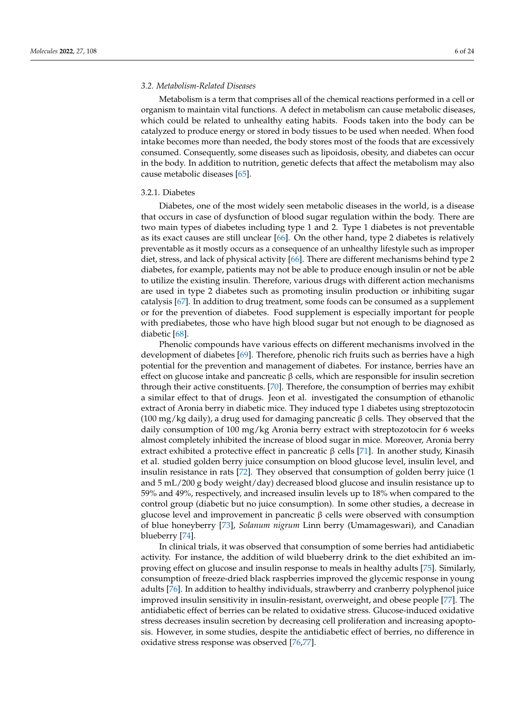# *3.2. Metabolism-Related Diseases*

Metabolism is a term that comprises all of the chemical reactions performed in a cell or organism to maintain vital functions. A defect in metabolism can cause metabolic diseases, which could be related to unhealthy eating habits. Foods taken into the body can be catalyzed to produce energy or stored in body tissues to be used when needed. When food intake becomes more than needed, the body stores most of the foods that are excessively consumed. Consequently, some diseases such as lipoidosis, obesity, and diabetes can occur in the body. In addition to nutrition, genetic defects that affect the metabolism may also cause metabolic diseases [\[65\]](#page-18-4).

#### 3.2.1. Diabetes

Diabetes, one of the most widely seen metabolic diseases in the world, is a disease that occurs in case of dysfunction of blood sugar regulation within the body. There are two main types of diabetes including type 1 and 2. Type 1 diabetes is not preventable as its exact causes are still unclear [\[66\]](#page-18-5). On the other hand, type 2 diabetes is relatively preventable as it mostly occurs as a consequence of an unhealthy lifestyle such as improper diet, stress, and lack of physical activity [\[66\]](#page-18-5). There are different mechanisms behind type 2 diabetes, for example, patients may not be able to produce enough insulin or not be able to utilize the existing insulin. Therefore, various drugs with different action mechanisms are used in type 2 diabetes such as promoting insulin production or inhibiting sugar catalysis [\[67\]](#page-18-6). In addition to drug treatment, some foods can be consumed as a supplement or for the prevention of diabetes. Food supplement is especially important for people with prediabetes, those who have high blood sugar but not enough to be diagnosed as diabetic [\[68\]](#page-18-7).

Phenolic compounds have various effects on different mechanisms involved in the development of diabetes [\[69\]](#page-18-8). Therefore, phenolic rich fruits such as berries have a high potential for the prevention and management of diabetes. For instance, berries have an effect on glucose intake and pancreatic  $β$  cells, which are responsible for insulin secretion through their active constituents. [\[70\]](#page-18-9). Therefore, the consumption of berries may exhibit a similar effect to that of drugs. Jeon et al. investigated the consumption of ethanolic extract of Aronia berry in diabetic mice. They induced type 1 diabetes using streptozotocin (100 mg/kg daily), a drug used for damaging pancreatic β cells. They observed that the daily consumption of 100 mg/kg Aronia berry extract with streptozotocin for 6 weeks almost completely inhibited the increase of blood sugar in mice. Moreover, Aronia berry extract exhibited a protective effect in pancreatic β cells [\[71\]](#page-18-10). In another study, Kinasih et al. studied golden berry juice consumption on blood glucose level, insulin level, and insulin resistance in rats [\[72\]](#page-18-11). They observed that consumption of golden berry juice (1 and 5 mL/200 g body weight/day) decreased blood glucose and insulin resistance up to 59% and 49%, respectively, and increased insulin levels up to 18% when compared to the control group (diabetic but no juice consumption). In some other studies, a decrease in glucose level and improvement in pancreatic β cells were observed with consumption of blue honeyberry [\[73\]](#page-18-12), *Solanum nigrum* Linn berry (Umamageswari), and Canadian blueberry [\[74\]](#page-18-13).

In clinical trials, it was observed that consumption of some berries had antidiabetic activity. For instance, the addition of wild blueberry drink to the diet exhibited an improving effect on glucose and insulin response to meals in healthy adults [\[75\]](#page-18-14). Similarly, consumption of freeze-dried black raspberries improved the glycemic response in young adults [\[76\]](#page-18-15). In addition to healthy individuals, strawberry and cranberry polyphenol juice improved insulin sensitivity in insulin-resistant, overweight, and obese people [\[77\]](#page-18-16). The antidiabetic effect of berries can be related to oxidative stress. Glucose-induced oxidative stress decreases insulin secretion by decreasing cell proliferation and increasing apoptosis. However, in some studies, despite the antidiabetic effect of berries, no difference in oxidative stress response was observed [\[76,](#page-18-15)[77\]](#page-18-16).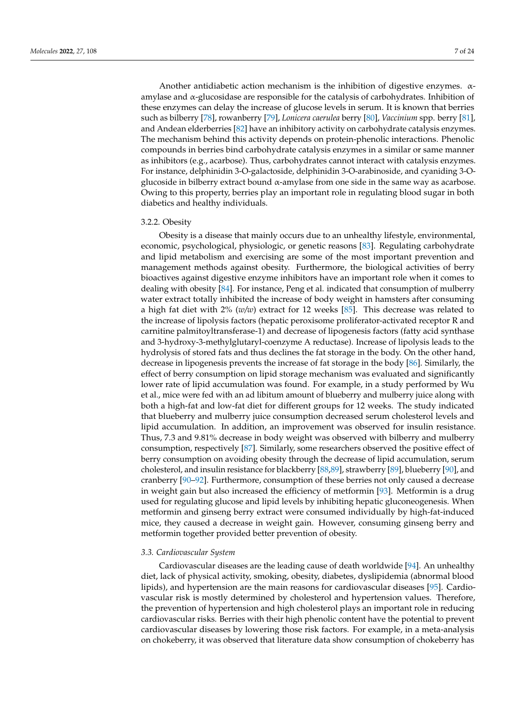Another antidiabetic action mechanism is the inhibition of digestive enzymes.  $\alpha$ amylase and α-glucosidase are responsible for the catalysis of carbohydrates. Inhibition of these enzymes can delay the increase of glucose levels in serum. It is known that berries such as bilberry [\[78\]](#page-18-17), rowanberry [\[79\]](#page-18-18), *Lonicera caerulea* berry [\[80\]](#page-18-19), *Vaccinium* spp. berry [\[81\]](#page-18-20), and Andean elderberries [\[82\]](#page-18-21) have an inhibitory activity on carbohydrate catalysis enzymes. The mechanism behind this activity depends on protein-phenolic interactions. Phenolic compounds in berries bind carbohydrate catalysis enzymes in a similar or same manner as inhibitors (e.g., acarbose). Thus, carbohydrates cannot interact with catalysis enzymes. For instance, delphinidin 3-O-galactoside, delphinidin 3-O-arabinoside, and cyaniding 3-Oglucoside in bilberry extract bound  $\alpha$ -amylase from one side in the same way as acarbose. Owing to this property, berries play an important role in regulating blood sugar in both diabetics and healthy individuals.

#### 3.2.2. Obesity

Obesity is a disease that mainly occurs due to an unhealthy lifestyle, environmental, economic, psychological, physiologic, or genetic reasons [\[83\]](#page-18-22). Regulating carbohydrate and lipid metabolism and exercising are some of the most important prevention and management methods against obesity. Furthermore, the biological activities of berry bioactives against digestive enzyme inhibitors have an important role when it comes to dealing with obesity [\[84\]](#page-18-23). For instance, Peng et al. indicated that consumption of mulberry water extract totally inhibited the increase of body weight in hamsters after consuming a high fat diet with 2% (*w/w*) extract for 12 weeks [\[85\]](#page-18-24). This decrease was related to the increase of lipolysis factors (hepatic peroxisome proliferator-activated receptor R and carnitine palmitoyltransferase-1) and decrease of lipogenesis factors (fatty acid synthase and 3-hydroxy-3-methylglutaryl-coenzyme A reductase). Increase of lipolysis leads to the hydrolysis of stored fats and thus declines the fat storage in the body. On the other hand, decrease in lipogenesis prevents the increase of fat storage in the body [\[86\]](#page-18-25). Similarly, the effect of berry consumption on lipid storage mechanism was evaluated and significantly lower rate of lipid accumulation was found. For example, in a study performed by Wu et al., mice were fed with an ad libitum amount of blueberry and mulberry juice along with both a high-fat and low-fat diet for different groups for 12 weeks. The study indicated that blueberry and mulberry juice consumption decreased serum cholesterol levels and lipid accumulation. In addition, an improvement was observed for insulin resistance. Thus, 7.3 and 9.81% decrease in body weight was observed with bilberry and mulberry consumption, respectively [\[87\]](#page-19-0). Similarly, some researchers observed the positive effect of berry consumption on avoiding obesity through the decrease of lipid accumulation, serum cholesterol, and insulin resistance for blackberry [\[88,](#page-19-1)[89\]](#page-19-2), strawberry [\[89\]](#page-19-2), blueberry [\[90\]](#page-19-3), and cranberry [\[90](#page-19-3)[–92\]](#page-19-4). Furthermore, consumption of these berries not only caused a decrease in weight gain but also increased the efficiency of metformin [\[93\]](#page-19-5). Metformin is a drug used for regulating glucose and lipid levels by inhibiting hepatic gluconeogenesis. When metformin and ginseng berry extract were consumed individually by high-fat-induced mice, they caused a decrease in weight gain. However, consuming ginseng berry and metformin together provided better prevention of obesity.

#### *3.3. Cardiovascular System*

Cardiovascular diseases are the leading cause of death worldwide [\[94\]](#page-19-6). An unhealthy diet, lack of physical activity, smoking, obesity, diabetes, dyslipidemia (abnormal blood lipids), and hypertension are the main reasons for cardiovascular diseases [\[95\]](#page-19-7). Cardiovascular risk is mostly determined by cholesterol and hypertension values. Therefore, the prevention of hypertension and high cholesterol plays an important role in reducing cardiovascular risks. Berries with their high phenolic content have the potential to prevent cardiovascular diseases by lowering those risk factors. For example, in a meta-analysis on chokeberry, it was observed that literature data show consumption of chokeberry has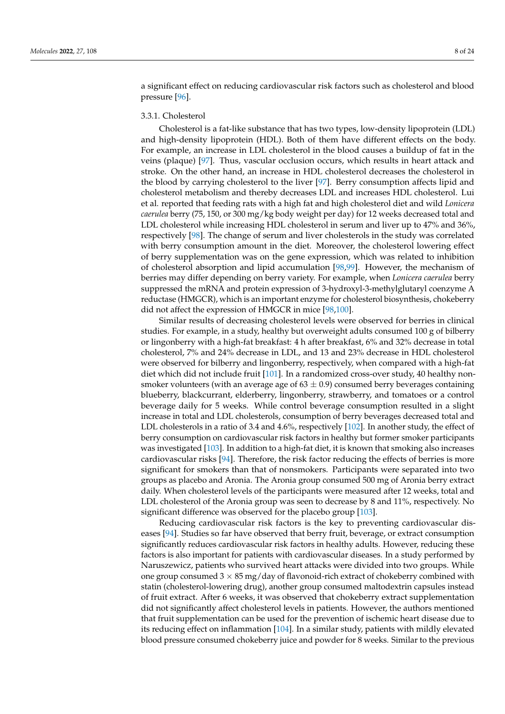a significant effect on reducing cardiovascular risk factors such as cholesterol and blood pressure [\[96\]](#page-19-8).

# 3.3.1. Cholesterol

Cholesterol is a fat-like substance that has two types, low-density lipoprotein (LDL) and high-density lipoprotein (HDL). Both of them have different effects on the body. For example, an increase in LDL cholesterol in the blood causes a buildup of fat in the veins (plaque) [\[97\]](#page-19-9). Thus, vascular occlusion occurs, which results in heart attack and stroke. On the other hand, an increase in HDL cholesterol decreases the cholesterol in the blood by carrying cholesterol to the liver [\[97\]](#page-19-9). Berry consumption affects lipid and cholesterol metabolism and thereby decreases LDL and increases HDL cholesterol. Lui et al. reported that feeding rats with a high fat and high cholesterol diet and wild *Lonicera caerulea* berry (75, 150, or 300 mg/kg body weight per day) for 12 weeks decreased total and LDL cholesterol while increasing HDL cholesterol in serum and liver up to 47% and 36%, respectively [\[98\]](#page-19-10). The change of serum and liver cholesterols in the study was correlated with berry consumption amount in the diet. Moreover, the cholesterol lowering effect of berry supplementation was on the gene expression, which was related to inhibition of cholesterol absorption and lipid accumulation [\[98](#page-19-10)[,99\]](#page-19-11). However, the mechanism of berries may differ depending on berry variety. For example, when *Lonicera caerulea* berry suppressed the mRNA and protein expression of 3-hydroxyl-3-methylglutaryl coenzyme A reductase (HMGCR), which is an important enzyme for cholesterol biosynthesis, chokeberry did not affect the expression of HMGCR in mice [\[98,](#page-19-10)[100\]](#page-19-12).

Similar results of decreasing cholesterol levels were observed for berries in clinical studies. For example, in a study, healthy but overweight adults consumed 100 g of bilberry or lingonberry with a high-fat breakfast: 4 h after breakfast, 6% and 32% decrease in total cholesterol, 7% and 24% decrease in LDL, and 13 and 23% decrease in HDL cholesterol were observed for bilberry and lingonberry, respectively, when compared with a high-fat diet which did not include fruit [\[101\]](#page-19-13). In a randomized cross-over study, 40 healthy nonsmoker volunteers (with an average age of  $63 \pm 0.9$ ) consumed berry beverages containing blueberry, blackcurrant, elderberry, lingonberry, strawberry, and tomatoes or a control beverage daily for 5 weeks. While control beverage consumption resulted in a slight increase in total and LDL cholesterols, consumption of berry beverages decreased total and LDL cholesterols in a ratio of 3.4 and 4.6%, respectively [\[102\]](#page-19-14). In another study, the effect of berry consumption on cardiovascular risk factors in healthy but former smoker participants was investigated [\[103\]](#page-19-15). In addition to a high-fat diet, it is known that smoking also increases cardiovascular risks [\[94\]](#page-19-6). Therefore, the risk factor reducing the effects of berries is more significant for smokers than that of nonsmokers. Participants were separated into two groups as placebo and Aronia. The Aronia group consumed 500 mg of Aronia berry extract daily. When cholesterol levels of the participants were measured after 12 weeks, total and LDL cholesterol of the Aronia group was seen to decrease by 8 and 11%, respectively. No significant difference was observed for the placebo group [\[103\]](#page-19-15).

Reducing cardiovascular risk factors is the key to preventing cardiovascular diseases [\[94\]](#page-19-6). Studies so far have observed that berry fruit, beverage, or extract consumption significantly reduces cardiovascular risk factors in healthy adults. However, reducing these factors is also important for patients with cardiovascular diseases. In a study performed by Naruszewicz, patients who survived heart attacks were divided into two groups. While one group consumed  $3 \times 85$  mg/day of flavonoid-rich extract of chokeberry combined with statin (cholesterol-lowering drug), another group consumed maltodextrin capsules instead of fruit extract. After 6 weeks, it was observed that chokeberry extract supplementation did not significantly affect cholesterol levels in patients. However, the authors mentioned that fruit supplementation can be used for the prevention of ischemic heart disease due to its reducing effect on inflammation [\[104\]](#page-19-16). In a similar study, patients with mildly elevated blood pressure consumed chokeberry juice and powder for 8 weeks. Similar to the previous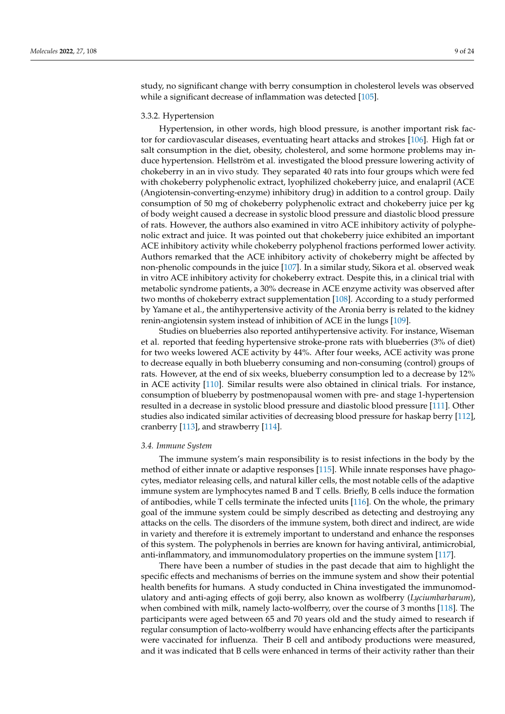study, no significant change with berry consumption in cholesterol levels was observed while a significant decrease of inflammation was detected [\[105\]](#page-19-17).

#### 3.3.2. Hypertension

Hypertension, in other words, high blood pressure, is another important risk factor for cardiovascular diseases, eventuating heart attacks and strokes [\[106\]](#page-19-18). High fat or salt consumption in the diet, obesity, cholesterol, and some hormone problems may induce hypertension. Hellström et al. investigated the blood pressure lowering activity of chokeberry in an in vivo study. They separated 40 rats into four groups which were fed with chokeberry polyphenolic extract, lyophilized chokeberry juice, and enalapril (ACE (Angiotensin-converting-enzyme) inhibitory drug) in addition to a control group. Daily consumption of 50 mg of chokeberry polyphenolic extract and chokeberry juice per kg of body weight caused a decrease in systolic blood pressure and diastolic blood pressure of rats. However, the authors also examined in vitro ACE inhibitory activity of polyphenolic extract and juice. It was pointed out that chokeberry juice exhibited an important ACE inhibitory activity while chokeberry polyphenol fractions performed lower activity. Authors remarked that the ACE inhibitory activity of chokeberry might be affected by non-phenolic compounds in the juice [\[107\]](#page-19-19). In a similar study, Sikora et al. observed weak in vitro ACE inhibitory activity for chokeberry extract. Despite this, in a clinical trial with metabolic syndrome patients, a 30% decrease in ACE enzyme activity was observed after two months of chokeberry extract supplementation [\[108\]](#page-19-20). According to a study performed by Yamane et al., the antihypertensive activity of the Aronia berry is related to the kidney renin-angiotensin system instead of inhibition of ACE in the lungs [\[109\]](#page-19-21).

Studies on blueberries also reported antihypertensive activity. For instance, Wiseman et al. reported that feeding hypertensive stroke-prone rats with blueberries (3% of diet) for two weeks lowered ACE activity by 44%. After four weeks, ACE activity was prone to decrease equally in both blueberry consuming and non-consuming (control) groups of rats. However, at the end of six weeks, blueberry consumption led to a decrease by 12% in ACE activity [\[110\]](#page-20-0). Similar results were also obtained in clinical trials. For instance, consumption of blueberry by postmenopausal women with pre- and stage 1-hypertension resulted in a decrease in systolic blood pressure and diastolic blood pressure [\[111\]](#page-20-1). Other studies also indicated similar activities of decreasing blood pressure for haskap berry [\[112\]](#page-20-2), cranberry [\[113\]](#page-20-3), and strawberry [\[114\]](#page-20-4).

#### *3.4. Immune System*

The immune system's main responsibility is to resist infections in the body by the method of either innate or adaptive responses [\[115\]](#page-20-5). While innate responses have phagocytes, mediator releasing cells, and natural killer cells, the most notable cells of the adaptive immune system are lymphocytes named B and T cells. Briefly, B cells induce the formation of antibodies, while T cells terminate the infected units [\[116\]](#page-20-6). On the whole, the primary goal of the immune system could be simply described as detecting and destroying any attacks on the cells. The disorders of the immune system, both direct and indirect, are wide in variety and therefore it is extremely important to understand and enhance the responses of this system. The polyphenols in berries are known for having antiviral, antimicrobial, anti-inflammatory, and immunomodulatory properties on the immune system [\[117\]](#page-20-7).

There have been a number of studies in the past decade that aim to highlight the specific effects and mechanisms of berries on the immune system and show their potential health benefits for humans. A study conducted in China investigated the immunomodulatory and anti-aging effects of goji berry, also known as wolfberry (*Lyciumbarbarum*), when combined with milk, namely lacto-wolfberry, over the course of 3 months [\[118\]](#page-20-8). The participants were aged between 65 and 70 years old and the study aimed to research if regular consumption of lacto-wolfberry would have enhancing effects after the participants were vaccinated for influenza. Their B cell and antibody productions were measured, and it was indicated that B cells were enhanced in terms of their activity rather than their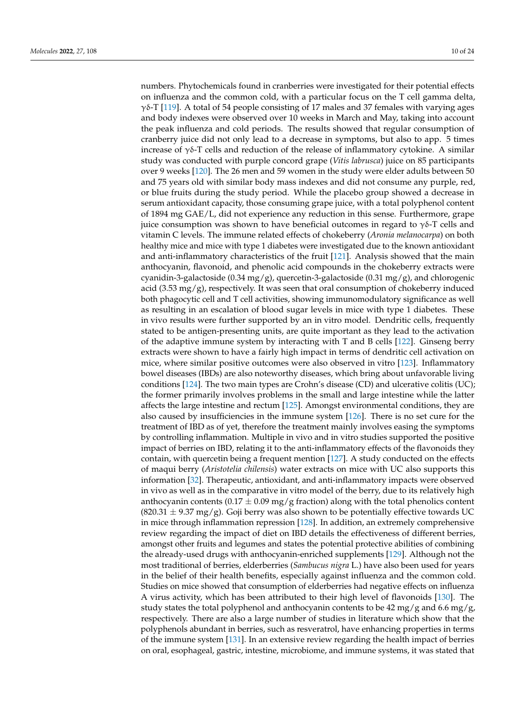numbers. Phytochemicals found in cranberries were investigated for their potential effects on influenza and the common cold, with a particular focus on the T cell gamma delta,  $γδ$ -T [\[119\]](#page-20-9). A total of 54 people consisting of 17 males and 37 females with varying ages and body indexes were observed over 10 weeks in March and May, taking into account the peak influenza and cold periods. The results showed that regular consumption of cranberry juice did not only lead to a decrease in symptoms, but also to app. 5 times increase of  $\gamma\delta$ -T cells and reduction of the release of inflammatory cytokine. A similar study was conducted with purple concord grape (*Vitis labrusca*) juice on 85 participants over 9 weeks [\[120\]](#page-20-10). The 26 men and 59 women in the study were elder adults between 50 and 75 years old with similar body mass indexes and did not consume any purple, red, or blue fruits during the study period. While the placebo group showed a decrease in serum antioxidant capacity, those consuming grape juice, with a total polyphenol content of 1894 mg GAE/L, did not experience any reduction in this sense. Furthermore, grape juice consumption was shown to have beneficial outcomes in regard to  $\gamma\delta$ -T cells and vitamin C levels. The immune related effects of chokeberry (*Aronia melanocarpa*) on both healthy mice and mice with type 1 diabetes were investigated due to the known antioxidant and anti-inflammatory characteristics of the fruit [\[121\]](#page-20-11). Analysis showed that the main anthocyanin, flavonoid, and phenolic acid compounds in the chokeberry extracts were cyanidin-3-galactoside (0.34 mg/g), quercetin-3-galactoside (0.31 mg/g), and chlorogenic acid (3.53 mg/g), respectively. It was seen that oral consumption of chokeberry induced both phagocytic cell and T cell activities, showing immunomodulatory significance as well as resulting in an escalation of blood sugar levels in mice with type 1 diabetes. These in vivo results were further supported by an in vitro model. Dendritic cells, frequently stated to be antigen-presenting units, are quite important as they lead to the activation of the adaptive immune system by interacting with T and B cells [\[122\]](#page-20-12). Ginseng berry extracts were shown to have a fairly high impact in terms of dendritic cell activation on mice, where similar positive outcomes were also observed in vitro [\[123\]](#page-20-13). Inflammatory bowel diseases (IBDs) are also noteworthy diseases, which bring about unfavorable living conditions [\[124\]](#page-20-14). The two main types are Crohn's disease (CD) and ulcerative colitis (UC); the former primarily involves problems in the small and large intestine while the latter affects the large intestine and rectum [\[125\]](#page-20-15). Amongst environmental conditions, they are also caused by insufficiencies in the immune system [\[126\]](#page-20-16). There is no set cure for the treatment of IBD as of yet, therefore the treatment mainly involves easing the symptoms by controlling inflammation. Multiple in vivo and in vitro studies supported the positive impact of berries on IBD, relating it to the anti-inflammatory effects of the flavonoids they contain, with quercetin being a frequent mention [\[127\]](#page-20-17). A study conducted on the effects of maqui berry (*Aristotelia chilensis*) water extracts on mice with UC also supports this information [\[32\]](#page-16-18). Therapeutic, antioxidant, and anti-inflammatory impacts were observed in vivo as well as in the comparative in vitro model of the berry, due to its relatively high anthocyanin contents (0.17  $\pm$  0.09 mg/g fraction) along with the total phenolics content  $(820.31 \pm 9.37 \text{ mg/g})$ . Goji berry was also shown to be potentially effective towards UC in mice through inflammation repression [\[128\]](#page-20-18). In addition, an extremely comprehensive review regarding the impact of diet on IBD details the effectiveness of different berries, amongst other fruits and legumes and states the potential protective abilities of combining the already-used drugs with anthocyanin-enriched supplements [\[129\]](#page-20-19). Although not the most traditional of berries, elderberries (*Sambucus nigra* L.) have also been used for years in the belief of their health benefits, especially against influenza and the common cold. Studies on mice showed that consumption of elderberries had negative effects on influenza A virus activity, which has been attributed to their high level of flavonoids [\[130\]](#page-20-20). The study states the total polyphenol and anthocyanin contents to be 42 mg/g and 6.6 mg/g, respectively. There are also a large number of studies in literature which show that the polyphenols abundant in berries, such as resveratrol, have enhancing properties in terms of the immune system [\[131\]](#page-20-21). In an extensive review regarding the health impact of berries on oral, esophageal, gastric, intestine, microbiome, and immune systems, it was stated that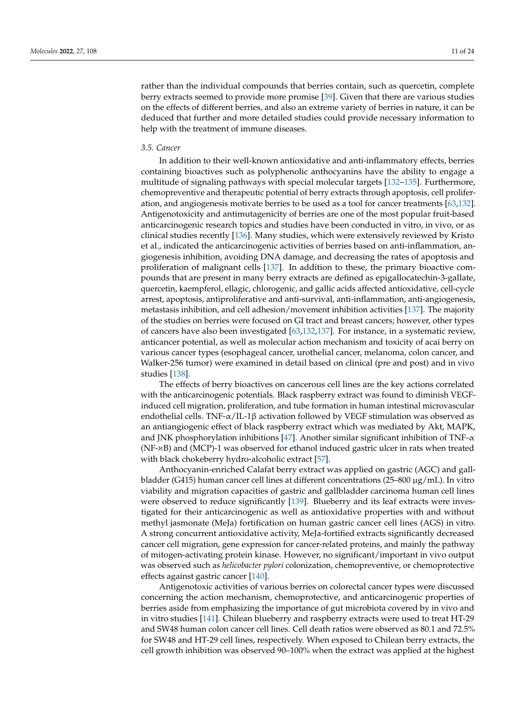rather than the individual compounds that berries contain, such as quercetin, complete berry extracts seemed to provide more promise [\[39\]](#page-17-5). Given that there are various studies on the effects of different berries, and also an extreme variety of berries in nature, it can be deduced that further and more detailed studies could provide necessary information to help with the treatment of immune diseases.

# *3.5. Cancer*

In addition to their well-known antioxidative and anti-inflammatory effects, berries containing bioactives such as polyphenolic anthocyanins have the ability to engage a multitude of signaling pathways with special molecular targets [\[132](#page-20-22)[–135\]](#page-21-0). Furthermore, chemopreventive and therapeutic potential of berry extracts through apoptosis, cell prolifer-ation, and angiogenesis motivate berries to be used as a tool for cancer treatments [\[63](#page-18-2)[,132\]](#page-20-22). Antigenotoxicity and antimutagenicity of berries are one of the most popular fruit-based anticarcinogenic research topics and studies have been conducted in vitro, in vivo, or as clinical studies recently [\[136\]](#page-21-1). Many studies, which were extensively reviewed by Kristo et al., indicated the anticarcinogenic activities of berries based on anti-inflammation, aneven, and the dimension of generation microsoft cells rates on an actual human microsoft part of the cells of apoptosis and giogenesis inhibition, avoiding DNA damage, and decreasing the rates of apoptosis and proliferation of malignant cells [\[137\]](#page-21-2). In addition to these, the primary bioactive comprometation of manguarities from the tax and the mese, the primary orderive compounds that are present in many berry extracts are defined as epigallocatechin-3-gallate, quercetin, kaempferol, ellagic, chlorogenic, and gallic acids affected antioxidative, cell-cycle<br> arrest, apoptosis, antiproliferative and anti-survival, anti-inflammation, anti-angiogenesis,<br>was observed in vitro and macroscopic and macroscopic and macroscopic and macroscopic and macroscopic and macr metastasis inhibition, and cell adhesion/movement inhibition activities [\[137\]](#page-21-2). The majority of the studies on berries were focused on GI tract and breast cancers; however, other types of cancers have also been investigated  $[63,132,137]$  $[63,132,137]$  $[63,132,137]$ . For instance, in a systematic review, anticancer potential, as well as molecular action mechanism and toxicity of acai berry on various cancer types (esophageal cancer, urothelial cancer, melanoma, colon cancer, and Walker-256 tumor) were examined in detail based on clinical (pre and post) and in vivo studies [\[138\]](#page-21-3).  $\epsilon$  was used for its ameliant effect on refluxed and anti-oxidant effect on  $\epsilon$  $Stu \text{dies}$  [138].

> The effects of berry bioactives on cancerous cell lines are the key actions correlated with the anticarcinogenic potentials. Black raspberry extract was found to diminish VEGFinduced cell migration, proliferation, and tube formation in human intestinal microvascular endothelial cells. TNF-α/IL-1β activation followed by VEGF stimulation was observed as an antiangiogenic effect of black raspberry extract which was mediated by Akt, MAPK, and JNK phosphorylation inhibitions [\[47\]](#page-17-13). Another similar significant inhibition of TNF- $\alpha$ (NF-xB) and (MCP)-1 was observed for ethanol induced gastric ulcer in rats when treated with black chokeberry hydro-alcoholic extract [57].

> Anthocyanin-enriched Calafat berry extract was applied on gastric (AGC) and gallbladder (G415) human cancer cell lines at different concentrations (25–800 μg/mL). In vitro viability and migration capacities of gastric and gallbladder carcinoma human cell lines were observed to reduce significantly [\[139\]](#page-21-4). Blueberry and its leaf extracts were investigated for their anticarcinogenic as well as antioxidative properties with and without methyl jasmonate (MeJa) fortification on human gastric cancer cell lines (AGS) in vitro. A strong concurrent antioxidative activity, MeJa-fortified extracts significantly decreased cancer cell migration, gene expression for cancer-related proteins, and mainly the pathway of mitogen-activating protein kinase. However, no significant/important in vivo output was observed such as *helicobacter pylori* colonization, chemopreventive, or chemoprotective effects against gastric cancer [\[140\]](#page-21-5).

> Antigenotoxic activities of various berries on colorectal cancer types were discussed concerning the action mechanism, chemoprotective, and anticarcinogenic properties of berries aside from emphasizing the importance of gut microbiota covered by in vivo and in vitro studies [\[141\]](#page-21-6). Chilean blueberry and raspberry extracts were used to treat HT-29  $\frac{1}{5}$   $\frac{1}{5}$   $\frac{1}{5}$   $\frac{1}{5}$   $\frac{1}{5}$   $\frac{1}{5}$   $\frac{1}{5}$   $\frac{1}{5}$   $\frac{1}{5}$   $\frac{1}{5}$   $\frac{1}{5}$   $\frac{1}{5}$   $\frac{1}{5}$   $\frac{1}{5}$   $\frac{1}{5}$   $\frac{1}{5}$   $\frac{1}{5}$   $\frac{1}{5}$   $\frac{1}{5}$   $\frac{1}{5}$   $\frac{1}{5}$   $\frac{1}{5}$  ethanole and SW48 human colon cancer cell lines. Cell death ratios were observed as 80.1 and 72.5%<br>And SW48 human colon cancer cell lines. Cell death ratios were observed as 80.1 and 72.5% for SW48 and HT-29 cell lines, respectively. When exposed to Chilean berry extracts, the cell growth inhibition was observed 90–100% when the extract was applied at the highest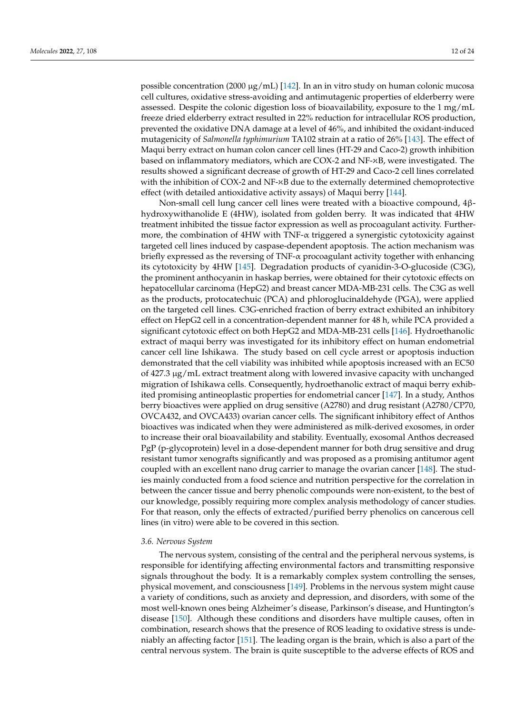possible concentration (2000 μg/mL) [\[142\]](#page-21-7). In an in vitro study on human colonic mucosa cell cultures, oxidative stress-avoiding and antimutagenic properties of elderberry were assessed. Despite the colonic digestion loss of bioavailability, exposure to the 1 mg/mL freeze dried elderberry extract resulted in 22% reduction for intracellular ROS production, prevented the oxidative DNA damage at a level of 46%, and inhibited the oxidant-induced mutagenicity of *Salmonella typhimurium* TA102 strain at a ratio of 26% [\[143\]](#page-21-8). The effect of Maqui berry extract on human colon cancer cell lines (HT-29 and Caco-2) growth inhibition based on inflammatory mediators, which are COX-2 and NF-xB, were investigated. The results showed a significant decrease of growth of HT-29 and Caco-2 cell lines correlated with the inhibition of COX-2 and NF-xB due to the externally determined chemoprotective effect (with detailed antioxidative activity assays) of Maqui berry [144]. gastric mucosa, including ulcerative colitis, antiulcer activity, alleviation effect on mor-

Non-small cell lung cancer cell lines were treated with a bioactive compound, 4βhydroxywithanolide E (4HW), isolated from golden berry. It was indicated that 4HW treatment inhibited the tissue factor expression as well as procoagulant activity. Furthermore, the combination of 4HW with TNF- $\alpha$  triggered a synergistic cytotoxicity against targeted cell lines induced by caspase-dependent apoptosis. The action mechanism was briefly expressed as the reversing of TNF- $\alpha$  procoagulant activity together with enhancing its cytotoxicity by 4HW [\[145\]](#page-21-10). Degradation products of cyanidin-3-O-glucoside (C3G), the prominent anthocyanin in haskap berries, were obtained for their cytotoxic effects on hepatocellular carcinoma (HepG2) and breast cancer MDA-MB-231 cells. The C3G as well as the products, protocatechuic (PCA) and phloroglucinaldehyde (PGA), were applied on the targeted cell lines. C3G-enriched fraction of berry extract exhibited an inhibitory effect on HepG2 cell in a concentration-dependent manner for 48 h, while PCA provided a  $\frac{1}{2}$  method with gastric much with gastric much activity  $\frac{1}{2}$  much activity and decreased in  $\frac{1}{2}$  $\frac{1}{5}$   $\frac{1}{5}$ ,  $\frac{1}{5}$ ,  $\frac{1}{5}$  and  $\frac{1}{5}$  and  $\frac{1}{5}$  in  $\frac{1}{5}$  and  $\frac{1}{5}$  are  $\frac{1}{5}$  and  $\frac{1}{5}$  and  $\frac{1}{5}$  and  $\frac{1}{5}$  and  $\frac{1}{5}$  $\frac{1}{2}$  induced gastric ulcer in ratio in ratio in ratio in ratio in  $\frac{1}{2}$  in  $\frac{1}{2}$  in  $\frac{1}{2}$  in  $\frac{1}{2}$  in  $\frac{1}{2}$  in  $\frac{1}{2}$  in  $\frac{1}{2}$  in  $\frac{1}{2}$  in  $\frac{1}{2}$  in  $\frac{1}{2}$  in  $\frac{1}{2}$  in  $\frac{1}{2$  $\frac{1}{2}$  by decreasing malondial by decreasing matrice  $\frac{1}{2}$  and  $\frac{1}{2}$  and  $\frac{1}{2}$  and  $\frac{1}{2}$  and  $\frac{1}{2}$  and  $\frac{1}{2}$  and  $\frac{1}{2}$  and  $\frac{1}{2}$  and  $\frac{1}{2}$  and  $\frac{1}{2}$  and  $\frac{1}{2}$  and  $\frac{1}{2}$  a increasing superoxide dismutase, catalase, glutathione peroxidase, and interleukin (IL)-4 ethanol-induced gastric ulcer in rats was evaluated and significant inhibition was ob-demonstrated that the cell viability was inhibited while apoptosis increased with an EC50 of 427.3 µg/mL extract treatment along with lowered invasive capacity with unchanged migration of Ishikawa cells. Consequently, hydroethanolic extract of maqui berry exhib-ited promising antineoplastic properties for endometrial cancer [\[147\]](#page-21-12). In a study, Anthos berry bioactives were applied on drug sensitive (A2780) and drug resistant (A2780/CP70, OVCA432, and OVCA433) ovarian cancer cells. The significant inhibitory effect of Anthos bioactives was indicated when they were administered as milk-derived exosomes, in order to increase their oral bioavailability and stability. Eventually, exosomal Anthos decreased PgP (p-glycoprotein) level in a dose-dependent manner for both drug sensitive and drug resistant tumor xenografts significantly and was proposed as a promising antitumor agent significant cytotoxic effect on both HepG2 and MDA-MB-231 cells [\[146\]](#page-21-11). Hydroethanolic extract of maqui berry was investigated for its inhibitory effect on human endometrial  $\sim$  matrices with gastric much gastric much gastric much gastric much gastric much activity and decreased in  $\sim$ cancer cell line Ishikawa. The study based on cell cycle arrest or apoptosis induction<br>damenatured that the sell viability was inhibited while are utasis in wased with an EC50. coupled with an excellent nano drug carrier to manage the ovarian cancer [\[148\]](#page-21-13). The studies mainly conducted from a food science and nutrition perspective for the correlation in between the cancer tissue and berry phenolic compounds were non-existent, to the best of our knowledge, possibly requiring more complex analysis methodology of cancer studies. For that reason, only the effects of extracted/purified berry phenolics on cancerous cell lines (in vitro) were able to be covered in this section.

#### *3.6. Nervous System*

[48,49].

The nervous system, consisting of the central and the peripheral nervous systems, is responsible for identifying affecting environmental factors and transmitting responsive signals throughout the body. It is a remarkably complex system controlling the senses, physical movement, and consciousness [\[149\]](#page-21-14). Problems in the nervous system might cause a variety of conditions, such as anxiety and depression, and disorders, with some of the most well-known ones being Alzheimer's disease, Parkinson's disease, and Huntington's disease [\[150\]](#page-21-15). Although these conditions and disorders have multiple causes, often in combination, research shows that the presence of ROS leading to oxidative stress is undeniably an affecting factor [\[151\]](#page-21-16). The leading organ is the brain, which is also a part of the central nervous system. The brain is quite susceptible to the adverse effects of ROS and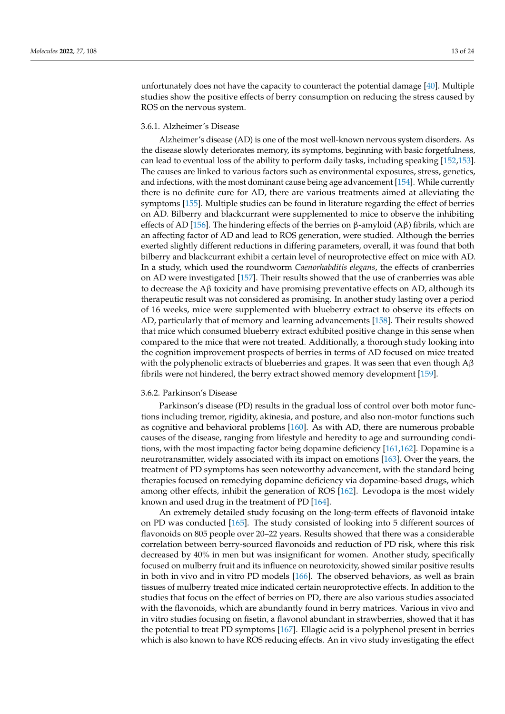unfortunately does not have the capacity to counteract the potential damage [\[40\]](#page-17-6). Multiple studies show the positive effects of berry consumption on reducing the stress caused by ROS on the nervous system.

# 3.6.1. Alzheimer's Disease

Alzheimer's disease (AD) is one of the most well-known nervous system disorders. As the disease slowly deteriorates memory, its symptoms, beginning with basic forgetfulness, can lead to eventual loss of the ability to perform daily tasks, including speaking [\[152](#page-21-17)[,153\]](#page-21-18). The causes are linked to various factors such as environmental exposures, stress, genetics, and infections, with the most dominant cause being age advancement [\[154\]](#page-21-19). While currently there is no definite cure for AD, there are various treatments aimed at alleviating the symptoms [\[155\]](#page-21-20). Multiple studies can be found in literature regarding the effect of berries on AD. Bilberry and blackcurrant were supplemented to mice to observe the inhibiting effects of AD [\[156\]](#page-21-21). The hindering effects of the berries on β-amyloid (Aβ) fibrils, which are an affecting factor of AD and lead to ROS generation, were studied. Although the berries exerted slightly different reductions in differing parameters, overall, it was found that both bilberry and blackcurrant exhibit a certain level of neuroprotective effect on mice with AD. In a study, which used the roundworm *Caenorhabditis elegans*, the effects of cranberries on AD were investigated [\[157\]](#page-21-22). Their results showed that the use of cranberries was able to decrease the A $\beta$  toxicity and have promising preventative effects on AD, although its therapeutic result was not considered as promising. In another study lasting over a period of 16 weeks, mice were supplemented with blueberry extract to observe its effects on AD, particularly that of memory and learning advancements [\[158\]](#page-22-0). Their results showed that mice which consumed blueberry extract exhibited positive change in this sense when compared to the mice that were not treated. Additionally, a thorough study looking into the cognition improvement prospects of berries in terms of AD focused on mice treated with the polyphenolic extracts of blueberries and grapes. It was seen that even though  $A\beta$ fibrils were not hindered, the berry extract showed memory development [\[159\]](#page-22-1).

# 3.6.2. Parkinson's Disease

Parkinson's disease (PD) results in the gradual loss of control over both motor functions including tremor, rigidity, akinesia, and posture, and also non-motor functions such as cognitive and behavioral problems [\[160\]](#page-22-2). As with AD, there are numerous probable causes of the disease, ranging from lifestyle and heredity to age and surrounding conditions, with the most impacting factor being dopamine deficiency [\[161,](#page-22-3)[162\]](#page-22-4). Dopamine is a neurotransmitter, widely associated with its impact on emotions [\[163\]](#page-22-5). Over the years, the treatment of PD symptoms has seen noteworthy advancement, with the standard being therapies focused on remedying dopamine deficiency via dopamine-based drugs, which among other effects, inhibit the generation of ROS [\[162\]](#page-22-4). Levodopa is the most widely known and used drug in the treatment of PD [\[164\]](#page-22-6).

An extremely detailed study focusing on the long-term effects of flavonoid intake on PD was conducted [\[165\]](#page-22-7). The study consisted of looking into 5 different sources of flavonoids on 805 people over 20–22 years. Results showed that there was a considerable correlation between berry-sourced flavonoids and reduction of PD risk, where this risk decreased by 40% in men but was insignificant for women. Another study, specifically focused on mulberry fruit and its influence on neurotoxicity, showed similar positive results in both in vivo and in vitro PD models [\[166\]](#page-22-8). The observed behaviors, as well as brain tissues of mulberry treated mice indicated certain neuroprotective effects. In addition to the studies that focus on the effect of berries on PD, there are also various studies associated with the flavonoids, which are abundantly found in berry matrices. Various in vivo and in vitro studies focusing on fisetin, a flavonol abundant in strawberries, showed that it has the potential to treat PD symptoms [\[167\]](#page-22-9). Ellagic acid is a polyphenol present in berries which is also known to have ROS reducing effects. An in vivo study investigating the effect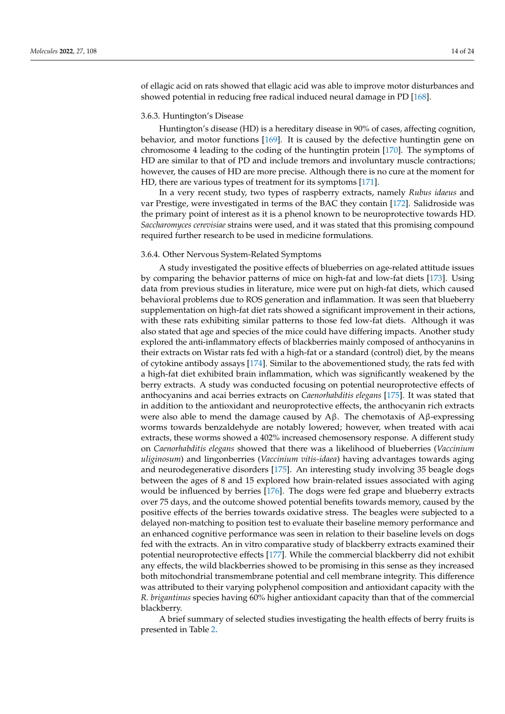of ellagic acid on rats showed that ellagic acid was able to improve motor disturbances and showed potential in reducing free radical induced neural damage in PD [\[168\]](#page-22-10).

#### 3.6.3. Huntington's Disease

Huntington's disease (HD) is a hereditary disease in 90% of cases, affecting cognition, behavior, and motor functions [\[169\]](#page-22-11). It is caused by the defective huntingtin gene on chromosome 4 leading to the coding of the huntingtin protein [\[170\]](#page-22-12). The symptoms of HD are similar to that of PD and include tremors and involuntary muscle contractions; however, the causes of HD are more precise. Although there is no cure at the moment for HD, there are various types of treatment for its symptoms [\[171\]](#page-22-13).

In a very recent study, two types of raspberry extracts, namely *Rubus idaeus* and var Prestige, were investigated in terms of the BAC they contain [\[172\]](#page-22-14). Salidroside was the primary point of interest as it is a phenol known to be neuroprotective towards HD. *Saccharomyces cerevisiae* strains were used, and it was stated that this promising compound required further research to be used in medicine formulations.

# 3.6.4. Other Nervous System-Related Symptoms

A study investigated the positive effects of blueberries on age-related attitude issues by comparing the behavior patterns of mice on high-fat and low-fat diets [\[173\]](#page-22-15). Using data from previous studies in literature, mice were put on high-fat diets, which caused behavioral problems due to ROS generation and inflammation. It was seen that blueberry supplementation on high-fat diet rats showed a significant improvement in their actions, with these rats exhibiting similar patterns to those fed low-fat diets. Although it was also stated that age and species of the mice could have differing impacts. Another study explored the anti-inflammatory effects of blackberries mainly composed of anthocyanins in their extracts on Wistar rats fed with a high-fat or a standard (control) diet, by the means of cytokine antibody assays [\[174\]](#page-22-16). Similar to the abovementioned study, the rats fed with a high-fat diet exhibited brain inflammation, which was significantly weakened by the berry extracts. A study was conducted focusing on potential neuroprotective effects of anthocyanins and acai berries extracts on *Caenorhabditis elegans* [\[175\]](#page-22-17). It was stated that in addition to the antioxidant and neuroprotective effects, the anthocyanin rich extracts were also able to mend the damage caused by  $\Lambda$ β. The chemotaxis of  $\Lambda$ β-expressing worms towards benzaldehyde are notably lowered; however, when treated with acai extracts, these worms showed a 402% increased chemosensory response. A different study on *Caenorhabditis elegans* showed that there was a likelihood of blueberries (*Vaccinium uliginosum*) and lingonberries (*Vaccinium vitis-idaea*) having advantages towards aging and neurodegenerative disorders [\[175\]](#page-22-17). An interesting study involving 35 beagle dogs between the ages of 8 and 15 explored how brain-related issues associated with aging would be influenced by berries [\[176\]](#page-22-18). The dogs were fed grape and blueberry extracts over 75 days, and the outcome showed potential benefits towards memory, caused by the positive effects of the berries towards oxidative stress. The beagles were subjected to a delayed non-matching to position test to evaluate their baseline memory performance and an enhanced cognitive performance was seen in relation to their baseline levels on dogs fed with the extracts. An in vitro comparative study of blackberry extracts examined their potential neuroprotective effects [\[177\]](#page-22-19). While the commercial blackberry did not exhibit any effects, the wild blackberries showed to be promising in this sense as they increased both mitochondrial transmembrane potential and cell membrane integrity. This difference was attributed to their varying polyphenol composition and antioxidant capacity with the *R. brigantinus* species having 60% higher antioxidant capacity than that of the commercial blackberry.

A brief summary of selected studies investigating the health effects of berry fruits is presented in Table [2.](#page-14-0)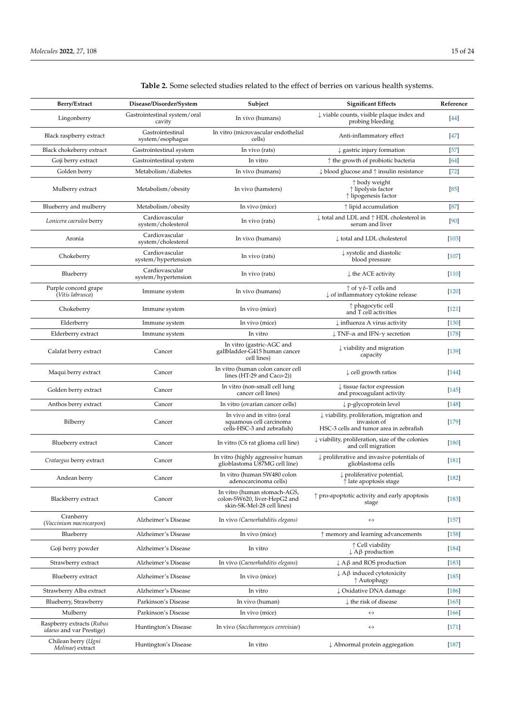| Berry/Extract                                                | Disease/Disorder/System                | Subject                                                                                    | <b>Significant Effects</b>                                                                                     | Reference |
|--------------------------------------------------------------|----------------------------------------|--------------------------------------------------------------------------------------------|----------------------------------------------------------------------------------------------------------------|-----------|
| Lingonberry                                                  | Gastrointestinal system/oral<br>cavity | In vivo (humans)                                                                           | $\downarrow$ viable counts, visible plaque index and<br>probing bleeding                                       | $[44]$    |
| Black raspberry extract                                      | Gastrointestinal<br>system/esophagus   | In vitro (microvascular endothelial<br>cells)                                              | Anti-inflammatory effect                                                                                       | $[47]$    |
| Black chokeberry extract                                     | Gastrointestinal system                | In vivo (rats)                                                                             | $\downarrow$ gastric injury formation                                                                          | $[57]$    |
| Goji berry extract                                           | Gastrointestinal system                | In vitro                                                                                   | $\uparrow$ the growth of probiotic bacteria                                                                    | [64]      |
| Golden berry                                                 | Metabolism/diabetes                    | In vivo (humans)                                                                           | $\downarrow$ blood glucose and $\uparrow$ insulin resistance                                                   | $[72]$    |
| Mulberry extract                                             | Metabolism/obesity                     | In vivo (hamsters)                                                                         | ↑ body weight<br>↑ lipolysis factor<br>↑ lipogenesis factor                                                    | $[85]$    |
| Blueberry and mulberry                                       | Metabolism/obesity                     | In vivo (mice)                                                                             | $\uparrow$ lipid accumulation                                                                                  | $[87]$    |
| Lonicera caerulea berry                                      | Cardiovascular<br>system/cholesterol   | In vivo (rats)                                                                             | $\downarrow$ total and LDL and $\uparrow$ HDL cholesterol in<br>serum and liver                                | [90]      |
| Aronia                                                       | Cardiovascular<br>system/cholesterol   | In vivo (humans)                                                                           | $\downarrow$ total and LDL cholesterol                                                                         | $[103]$   |
| Chokeberry                                                   | Cardiovascular<br>system/hypertension  | In vivo (rats)                                                                             | ↓ systolic and diastolic<br>blood pressure                                                                     | $[107]$   |
| Blueberry                                                    | Cardiovascular<br>system/hypertension  | In vivo (rats)                                                                             | $\downarrow$ the ACE activity                                                                                  | $[110]$   |
| Purple concord grape<br>(Vitis labrusca)                     | Immune system                          | In vivo (humans)                                                                           | $\uparrow$ of $\gamma \delta$ -T cells and<br>↓ of inflammatory cytokine release                               | $[120]$   |
| Chokeberry                                                   | Immune system                          | In vivo (mice)                                                                             | ↑ phagocytic cell<br>and T cell activities                                                                     | $[121]$   |
| Elderberry                                                   | Immune system                          | In vivo (mice)                                                                             | $\downarrow$ influenza A virus activity                                                                        | $[130]$   |
| Elderberry extract                                           | Immune system                          | In vitro                                                                                   | $\downarrow$ TNF- $\alpha$ and IFN- $\gamma$ secretion                                                         | $[178]$   |
| Calafat berry extract                                        | Cancer                                 | In vitro (gastric-AGC and<br>gallbladder-G415 human cancer<br>cell lines)                  | $\downarrow$ viability and migration<br>capacity                                                               | $[139]$   |
| Maqui berry extract                                          | Cancer                                 | In vitro (human colon cancer cell<br>lines (HT-29 and Caco-2))                             | $\downarrow$ cell growth ratios                                                                                | $[144]$   |
| Golden berry extract                                         | Cancer                                 | In vitro (non-small cell lung<br>cancer cell lines)                                        | $\downarrow$ tissue factor expression<br>and procoagulant activity                                             | $[145]$   |
| Anthos berry extract                                         | Cancer                                 | In vitro (ovarian cancer cells)                                                            | $\downarrow$ p-glycoprotein level                                                                              | $[148]$   |
| Bilberry                                                     | Cancer                                 | In vivo and in vitro (oral<br>squamous cell carcinoma<br>cells-HSC-3 and zebrafish)        | $\downarrow$ viability, proliferation, migration and<br>invasion of<br>HSC-3 cells and tumor area in zebrafish | $[179]$   |
| Blueberry extract                                            | Cancer                                 | In vitro (C6 rat glioma cell line)                                                         | $\downarrow$ viability, proliferation, size of the colonies<br>and cell migration                              | $[180]$   |
| Crataegus berry extract                                      | Cancer                                 | In vitro (highly aggressive human<br>glioblastoma U87MG cell line)                         | $\downarrow$ proliferative and invasive potentials of<br>glioblastoma cells                                    | $[181]$   |
| Andean berry                                                 | Cancer                                 | In vitro (human SW480 colon<br>adenocarcinoma cells)                                       | $\downarrow$ proliferative potential,<br>$\uparrow$ late apoptosis stage                                       | $[182]$   |
| Blackberry extract                                           | Cancer                                 | In vitro (human stomach-AGS,<br>colon-SW620, liver-HepG2 and<br>skin-SK-Mel-28 cell lines) | $\uparrow$ pro-apoptotic activity and early apoptosis<br>stage                                                 | $[183]$   |
| Cranberry<br>(Vaccinium macrocarpon)                         | Alzheimer's Disease                    | In vivo (Caenorhabditis elegans)                                                           | $\leftrightarrow$                                                                                              | $[157]$   |
| Blueberry                                                    | Alzheimer's Disease                    | In vivo (mice)                                                                             | $\uparrow$ memory and learning advancements                                                                    | [158]     |
| Goji berry powder                                            | Alzheimer's Disease                    | In vitro                                                                                   | ↑ Cell viability<br>$\downarrow$ A $\upbeta$ production                                                        | $[184]$   |
| Strawberry extract                                           | Alzheimer's Disease                    | In vivo (Caenorhabditis elegans)                                                           | $\downarrow$ A $\upbeta$ and ROS production                                                                    | $[183]$   |
| Blueberry extract                                            | Alzheimer's Disease                    | In vivo (mice)                                                                             | $\downarrow$ A $\upbeta$ induced cytotoxicity<br>↑ Autophagy                                                   | $[185]$   |
| Strawberry Alba extract                                      | Alzheimer's Disease                    | In vitro                                                                                   | ↓ Oxidative DNA damage                                                                                         | $[186]$   |
| Blueberry, Strawberry                                        | Parkinson's Disease                    | In vivo (human)                                                                            | $\downarrow$ the risk of disease                                                                               | $[165]$   |
| Mulberry                                                     | Parkinson's Disease                    | In vivo (mice)                                                                             | $\leftrightarrow$                                                                                              | $[166]$   |
| Raspberry extracts (Rubus<br><i>idaeus</i> and var Prestige) | Huntington's Disease                   | In vivo (Saccharomyces cerevisiae)                                                         | $\leftrightarrow$                                                                                              | $[171]$   |
| Chilean berry (Ugni<br>Molinae) extract                      | Huntington's Disease                   | In vitro                                                                                   | $\downarrow$ Abnormal protein aggregation                                                                      | $[187]$   |

# <span id="page-14-0"></span>**Table 2.** Some selected studies related to the effect of berries on various health systems.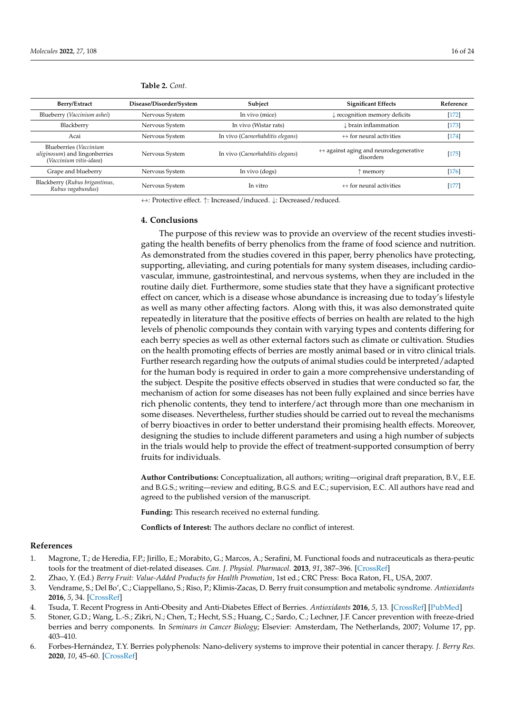| Berry/Extract                                                                              | Disease/Disorder/System | Subject                          | <b>Significant Effects</b>                                         | Reference |
|--------------------------------------------------------------------------------------------|-------------------------|----------------------------------|--------------------------------------------------------------------|-----------|
| Blueberry (Vaccinium ashei)                                                                | Nervous System          | In vivo (mice)                   | $\downarrow$ recognition memory deficits                           | $[172]$   |
| Blackberry                                                                                 | Nervous System          | In vivo (Wistar rats)            | $\downarrow$ brain inflammation                                    | $[173]$   |
| Acai                                                                                       | Nervous System          | In vivo (Caenorhabditis elegans) | $\leftrightarrow$ for neural activities                            | $[174]$   |
| Blueberries (Vaccinium<br><i>uliginosum</i> ) and lingonberries<br>(Vaccinium vitis-idaea) | Nervous System          | In vivo (Caenorhabditis elegans) | $\leftrightarrow$ against aging and neurodegenerative<br>disorders | $[175]$   |
| Grape and blueberry                                                                        | Nervous System          | In vivo (dogs)                   | memory                                                             | $[176]$   |
| Blackberry (Rubus brigantinus,<br>Rubus vagabundus)                                        | Nervous System          | In vitro                         | $\leftrightarrow$ for neural activities                            | $[177]$   |

**Table 2.** *Cont.*

↔: Protective effect. ↑: Increased/induced. ↓: Decreased/reduced.

#### **4. Conclusions**

The purpose of this review was to provide an overview of the recent studies investigating the health benefits of berry phenolics from the frame of food science and nutrition. As demonstrated from the studies covered in this paper, berry phenolics have protecting, supporting, alleviating, and curing potentials for many system diseases, including cardiovascular, immune, gastrointestinal, and nervous systems, when they are included in the routine daily diet. Furthermore, some studies state that they have a significant protective effect on cancer, which is a disease whose abundance is increasing due to today's lifestyle as well as many other affecting factors. Along with this, it was also demonstrated quite repeatedly in literature that the positive effects of berries on health are related to the high levels of phenolic compounds they contain with varying types and contents differing for each berry species as well as other external factors such as climate or cultivation. Studies on the health promoting effects of berries are mostly animal based or in vitro clinical trials. Further research regarding how the outputs of animal studies could be interpreted/adapted for the human body is required in order to gain a more comprehensive understanding of the subject. Despite the positive effects observed in studies that were conducted so far, the mechanism of action for some diseases has not been fully explained and since berries have rich phenolic contents, they tend to interfere/act through more than one mechanism in some diseases. Nevertheless, further studies should be carried out to reveal the mechanisms of berry bioactives in order to better understand their promising health effects. Moreover, designing the studies to include different parameters and using a high number of subjects in the trials would help to provide the effect of treatment-supported consumption of berry fruits for individuals.

**Author Contributions:** Conceptualization, all authors; writing—original draft preparation, B.V., E.E. and B.G.S.; writing—review and editing, B.G.S. and E.C.; supervision, E.C. All authors have read and agreed to the published version of the manuscript.

**Funding:** This research received no external funding.

**Conflicts of Interest:** The authors declare no conflict of interest.

#### **References**

- <span id="page-15-0"></span>1. Magrone, T.; de Heredia, F.P.; Jirillo, E.; Morabito, G.; Marcos, A.; Serafini, M. Functional foods and nutraceuticals as thera-peutic tools for the treatment of diet-related diseases. *Can. J. Physiol. Pharmacol.* **2013**, *91*, 387–396. [\[CrossRef\]](http://doi.org/10.1139/cjpp-2012-0307)
- <span id="page-15-1"></span>2. Zhao, Y. (Ed.) *Berry Fruit: Value-Added Products for Health Promotion*, 1st ed.; CRC Press: Boca Raton, FL, USA, 2007.
- <span id="page-15-2"></span>3. Vendrame, S.; Del Bo', C.; Ciappellano, S.; Riso, P.; Klimis-Zacas, D. Berry fruit consumption and metabolic syndrome. *Antioxidants* **2016**, *5*, 34. [\[CrossRef\]](http://doi.org/10.3390/antiox5040034)
- <span id="page-15-3"></span>4. Tsuda, T. Recent Progress in Anti-Obesity and Anti-Diabetes Effect of Berries. *Antioxidants* **2016**, *5*, 13. [\[CrossRef\]](http://doi.org/10.3390/antiox5020013) [\[PubMed\]](http://www.ncbi.nlm.nih.gov/pubmed/27058561)
- <span id="page-15-4"></span>5. Stoner, G.D.; Wang, L.-S.; Zikri, N.; Chen, T.; Hecht, S.S.; Huang, C.; Sardo, C.; Lechner, J.F. Cancer prevention with freeze-dried berries and berry components. In *Seminars in Cancer Biology*; Elsevier: Amsterdam, The Netherlands, 2007; Volume 17, pp. 403–410.
- <span id="page-15-5"></span>6. Forbes-Hernández, T.Y. Berries polyphenols: Nano-delivery systems to improve their potential in cancer therapy. *J. Berry Res.* **2020**, *10*, 45–60. [\[CrossRef\]](http://doi.org/10.3233/JBR-200547)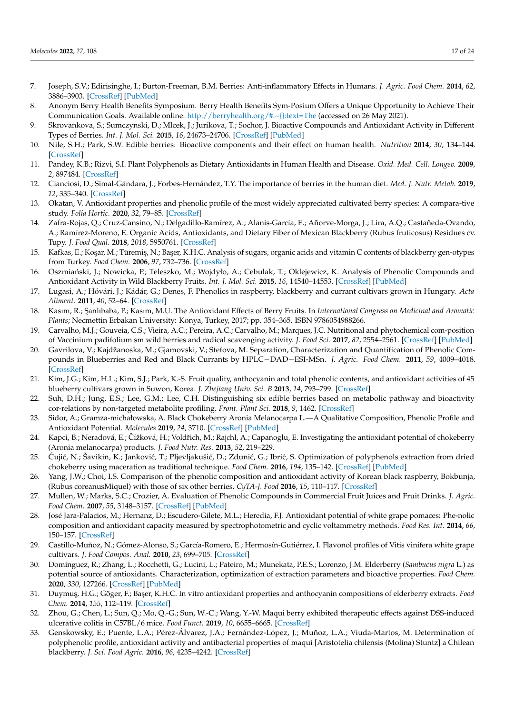- <span id="page-16-0"></span>7. Joseph, S.V.; Edirisinghe, I.; Burton-Freeman, B.M. Berries: Anti-inflammatory Effects in Humans. *J. Agric. Food Chem.* **2014**, *62*, 3886–3903. [\[CrossRef\]](http://doi.org/10.1021/jf4044056) [\[PubMed\]](http://www.ncbi.nlm.nih.gov/pubmed/24512603)
- <span id="page-16-1"></span>8. Anonym Berry Health Benefits Symposium. Berry Health Benefits Sym-Posium Offers a Unique Opportunity to Achieve Their Communication Goals. Available online: <http://berryhealth.org/#:~{}:text=The> (accessed on 26 May 2021).
- <span id="page-16-2"></span>9. Skrovankova, S.; Sumczynski, D.; Mlcek, J.; Jurikova, T.; Sochor, J. Bioactive Compounds and Antioxidant Activity in Different Types of Berries. *Int. J. Mol. Sci.* **2015**, *16*, 24673–24706. [\[CrossRef\]](http://doi.org/10.3390/ijms161024673) [\[PubMed\]](http://www.ncbi.nlm.nih.gov/pubmed/26501271)
- <span id="page-16-3"></span>10. Nile, S.H.; Park, S.W. Edible berries: Bioactive components and their effect on human health. *Nutrition* **2014**, *30*, 134–144. [\[CrossRef\]](http://doi.org/10.1016/j.nut.2013.04.007)
- <span id="page-16-4"></span>11. Pandey, K.B.; Rizvi, S.I. Plant Polyphenols as Dietary Antioxidants in Human Health and Disease. *Oxid. Med. Cell. Longev.* **2009**, *2*, 897484. [\[CrossRef\]](http://doi.org/10.4161/oxim.2.5.9498)
- <span id="page-16-5"></span>12. Cianciosi, D.; Simal-Gándara, J.; Forbes-Hernández, T.Y. The importance of berries in the human diet. *Med. J. Nutr. Metab.* **2019**, *12*, 335–340. [\[CrossRef\]](http://doi.org/10.3233/MNM-190366)
- <span id="page-16-6"></span>13. Okatan, V. Antioxidant properties and phenolic profile of the most widely appreciated cultivated berry species: A compara-tive study. *Folia Hortic.* **2020**, *32*, 79–85. [\[CrossRef\]](http://doi.org/10.2478/fhort-2020-0008)
- 14. Zafra-Rojas, Q.; Cruz-Cansino, N.; Delgadillo-Ramírez, A.; Alanís-García, E.; Añorve-Morga, J.; Lira, A.Q.; Castañeda-Ovando, A.; Ramírez-Moreno, E. Organic Acids, Antioxidants, and Dietary Fiber of Mexican Blackberry (Rubus fruticosus) Residues cv. Tupy. *J. Food Qual.* **2018**, *2018*, 5950761. [\[CrossRef\]](http://doi.org/10.1155/2018/5950761)
- 15. Kafkas, E.; Ko¸sar, M.; Türemi¸s, N.; Ba¸ser, K.H.C. Analysis of sugars, organic acids and vitamin C contents of blackberry gen-otypes from Turkey. *Food Chem.* **2006**, *97*, 732–736. [\[CrossRef\]](http://doi.org/10.1016/j.foodchem.2005.09.023)
- 16. Oszmiański, J.; Nowicka, P.; Teleszko, M.; Wojdyło, A.; Cebulak, T.; Oklejewicz, K. Analysis of Phenolic Compounds and Antioxidant Activity in Wild Blackberry Fruits. *Int. J. Mol. Sci.* **2015**, *16*, 14540–14553. [\[CrossRef\]](http://doi.org/10.3390/ijms160714540) [\[PubMed\]](http://www.ncbi.nlm.nih.gov/pubmed/26132562)
- <span id="page-16-7"></span>17. Lugasi, A.; Hóvári, J.; Kádár, G.; Denes, F. Phenolics in raspberry, blackberry and currant cultivars grown in Hungary. *Acta Aliment.* **2011**, *40*, 52–64. [\[CrossRef\]](http://doi.org/10.1556/AAlim.40.2011.1.8)
- <span id="page-16-8"></span>18. Kasım, R.; ¸Sanlıbaba, P.; Kasım, M.U. The Antioxidant Effects of Berry Fruits. In *International Congress on Medicinal and Aromatic Plants*; Necmettin Erbakan University: Konya, Turkey, 2017; pp. 354–365. ISBN 9786054988266.
- 19. Carvalho, M.J.; Gouveia, C.S.; Vieira, A.C.; Pereira, A.C.; Carvalho, M.; Marques, J.C. Nutritional and phytochemical com-position of Vaccinium padifolium sm wild berries and radical scavenging activity. *J. Food Sci.* **2017**, *82*, 2554–2561. [\[CrossRef\]](http://doi.org/10.1111/1750-3841.13928) [\[PubMed\]](http://www.ncbi.nlm.nih.gov/pubmed/28960302)
- <span id="page-16-15"></span>20. Gavrilova, V.; Kajdžanoska, M.; Gjamovski, V.; Stefova, M. Separation, Characterization and Quantification of Phenolic Compounds in Blueberries and Red and Black Currants by HPLC−DAD−ESI-MSn. *J. Agric. Food Chem.* **2011**, *59*, 4009–4018. [\[CrossRef\]](http://doi.org/10.1021/jf104565y)
- <span id="page-16-9"></span>21. Kim, J.G.; Kim, H.L.; Kim, S.J.; Park, K.-S. Fruit quality, anthocyanin and total phenolic contents, and antioxidant activities of 45 blueberry cultivars grown in Suwon, Korea. *J. Zhejiang Univ. Sci. B* **2013**, *14*, 793–799. [\[CrossRef\]](http://doi.org/10.1631/jzus.B1300012)
- <span id="page-16-10"></span>22. Suh, D.H.; Jung, E.S.; Lee, G.M.; Lee, C.H. Distinguishing six edible berries based on metabolic pathway and bioactivity cor-relations by non-targeted metabolite profiling. *Front. Plant Sci.* **2018**, *9*, 1462. [\[CrossRef\]](http://doi.org/10.3389/fpls.2018.01462)
- 23. Sidor, A.; Gramza-michałowska, A. Black Chokeberry Aronia Melanocarpa L.—A Qualitative Composition, Phenolic Profile and Antioxidant Potential. *Molecules* **2019**, *24*, 3710. [\[CrossRef\]](http://doi.org/10.3390/molecules24203710) [\[PubMed\]](http://www.ncbi.nlm.nih.gov/pubmed/31619015)
- 24. Kapci, B.; Neradová, E.; Čížková, H.; Voldřich, M.; Rajchl, A.; Capanoglu, E. Investigating the antioxidant potential of chokeberry (Aronia melanocarpa) products. *J. Food Nutr. Res.* **2013**, *52*, 219–229.
- <span id="page-16-11"></span>25. Ćujić, N.; Šavikin, K.; Janković, T.; Pljevljakušić, D.; Zdunić, G.; Ibrić, S. Optimization of polyphenols extraction from dried chokeberry using maceration as traditional technique. *Food Chem.* **2016**, *194*, 135–142. [\[CrossRef\]](http://doi.org/10.1016/j.foodchem.2015.08.008) [\[PubMed\]](http://www.ncbi.nlm.nih.gov/pubmed/26471536)
- <span id="page-16-12"></span>26. Yang, J.W.; Choi, I.S. Comparison of the phenolic composition and antioxidant activity of Korean black raspberry, Bokbunja, (Rubus coreanusMiquel) with those of six other berries. *CyTA-J. Food* **2016**, *15*, 110–117. [\[CrossRef\]](http://doi.org/10.1080/19476337.2016.1219390)
- <span id="page-16-13"></span>27. Mullen, W.; Marks, S.C.; Crozier, A. Evaluation of Phenolic Compounds in Commercial Fruit Juices and Fruit Drinks. *J. Agric. Food Chem.* **2007**, *55*, 3148–3157. [\[CrossRef\]](http://doi.org/10.1021/jf062970x) [\[PubMed\]](http://www.ncbi.nlm.nih.gov/pubmed/17362029)
- 28. José Jara-Palacios, M.; Hernanz, D.; Escudero-Gilete, M.L.; Heredia, F.J. Antioxidant potential of white grape pomaces: Phe-nolic composition and antioxidant capacity measured by spectrophotometric and cyclic voltammetry methods. *Food Res. Int.* **2014**, *66*, 150–157. [\[CrossRef\]](http://doi.org/10.1016/j.foodres.2014.09.009)
- <span id="page-16-14"></span>29. Castillo-Muñoz, N.; Gómez-Alonso, S.; García-Romero, E.; Hermosín-Gutiérrez, I. Flavonol profiles of Vitis vinifera white grape cultivars. *J. Food Compos. Anal.* **2010**, *23*, 699–705. [\[CrossRef\]](http://doi.org/10.1016/j.jfca.2010.03.017)
- <span id="page-16-16"></span>30. Domínguez, R.; Zhang, L.; Rocchetti, G.; Lucini, L.; Pateiro, M.; Munekata, P.E.S.; Lorenzo, J.M. Elderberry (*Sambucus nigra* L.) as potential source of antioxidants. Characterization, optimization of extraction parameters and bioactive properties. *Food Chem.* **2020**, *330*, 127266. [\[CrossRef\]](http://doi.org/10.1016/j.foodchem.2020.127266) [\[PubMed\]](http://www.ncbi.nlm.nih.gov/pubmed/32540528)
- <span id="page-16-17"></span>31. Duymu¸s, H.G.; Göger, F.; Ba¸ser, K.H.C. In vitro antioxidant properties and anthocyanin compositions of elderberry extracts. *Food Chem.* **2014**, *155*, 112–119. [\[CrossRef\]](http://doi.org/10.1016/j.foodchem.2014.01.028)
- <span id="page-16-18"></span>32. Zhou, G.; Chen, L.; Sun, Q.; Mo, Q.-G.; Sun, W.-C.; Wang, Y.-W. Maqui berry exhibited therapeutic effects against DSS-induced ulcerative colitis in C57BL/6 mice. *Food Funct.* **2019**, *10*, 6655–6665. [\[CrossRef\]](http://doi.org/10.1039/C9FO00663J)
- <span id="page-16-19"></span>33. Genskowsky, E.; Puente, L.A.; Pérez-Álvarez, J.A.; Fernández-López, J.; Muñoz, L.A.; Viuda-Martos, M. Determination of polyphenolic profile, antioxidant activity and antibacterial properties of maqui [Aristotelia chilensis (Molina) Stuntz] a Chilean blackberry. *J. Sci. Food Agric.* **2016**, *96*, 4235–4242. [\[CrossRef\]](http://doi.org/10.1002/jsfa.7628)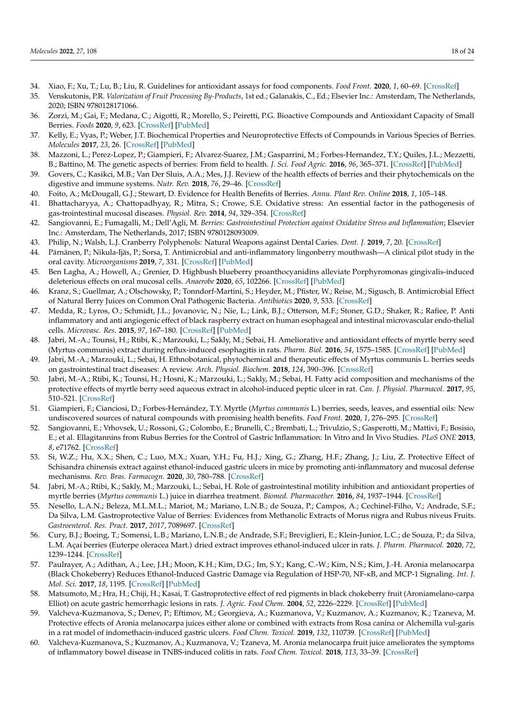- <span id="page-17-0"></span>34. Xiao, F.; Xu, T.; Lu, B.; Liu, R. Guidelines for antioxidant assays for food components. *Food Front.* **2020**, *1*, 60–69. [\[CrossRef\]](http://doi.org/10.1002/fft2.10)
- <span id="page-17-1"></span>35. Venskutonis, P.R. *Valorization of Fruit Processing By-Products*, 1st ed.; Galanakis, C., Ed.; Elsevier Inc.: Amsterdam, The Netherlands, 2020; ISBN 9780128171066.
- <span id="page-17-2"></span>36. Zorzi, M.; Gai, F.; Medana, C.; Aigotti, R.; Morello, S.; Peiretti, P.G. Bioactive Compounds and Antioxidant Capacity of Small Berries. *Foods* **2020**, *9*, 623. [\[CrossRef\]](http://doi.org/10.3390/foods9050623) [\[PubMed\]](http://www.ncbi.nlm.nih.gov/pubmed/32414083)
- <span id="page-17-3"></span>37. Kelly, E.; Vyas, P.; Weber, J.T. Biochemical Properties and Neuroprotective Effects of Compounds in Various Species of Berries. *Molecules* **2017**, *23*, 26. [\[CrossRef\]](http://doi.org/10.3390/molecules23010026) [\[PubMed\]](http://www.ncbi.nlm.nih.gov/pubmed/29271934)
- <span id="page-17-4"></span>38. Mazzoni, L.; Perez-Lopez, P.; Giampieri, F.; Alvarez-Suarez, J.M.; Gasparrini, M.; Forbes-Hernandez, T.Y.; Quiles, J.L.; Mezzetti, B.; Battino, M. The genetic aspects of berries: From field to health. *J. Sci. Food Agric.* **2016**, *96*, 365–371. [\[CrossRef\]](http://doi.org/10.1002/jsfa.7216) [\[PubMed\]](http://www.ncbi.nlm.nih.gov/pubmed/25872898)
- <span id="page-17-5"></span>39. Govers, C.; Kasikci, M.B.; Van Der Sluis, A.A.; Mes, J.J. Review of the health effects of berries and their phytochemicals on the digestive and immune systems. *Nutr. Rev.* **2018**, *76*, 29–46. [\[CrossRef\]](http://doi.org/10.1093/nutrit/nux039)
- <span id="page-17-6"></span>40. Foito, A.; McDougall, G.J.; Stewart, D. Evidence for Health Benefits of Berries. *Annu. Plant Rev. Online* **2018**, *1*, 105–148.
- <span id="page-17-7"></span>41. Bhattacharyya, A.; Chattopadhyay, R.; Mitra, S.; Crowe, S.E. Oxidative stress: An essential factor in the pathogenesis of gas-trointestinal mucosal diseases. *Physiol. Rev.* **2014**, *94*, 329–354. [\[CrossRef\]](http://doi.org/10.1152/physrev.00040.2012)
- <span id="page-17-8"></span>42. Sangiovanni, E.; Fumagalli, M.; Dell'Agli, M. *Berries: Gastrointestinal Protection against Oxidative Stress and Inflammation*; Elsevier Inc.: Amsterdam, The Netherlands, 2017; ISBN 9780128093009.
- <span id="page-17-9"></span>43. Philip, N.; Walsh, L.J. Cranberry Polyphenols: Natural Weapons against Dental Caries. *Dent. J.* **2019**, *7*, 20. [\[CrossRef\]](http://doi.org/10.3390/dj7010020)
- <span id="page-17-10"></span>44. Pärnänen, P.; Nikula-Ijäs, P.; Sorsa, T. Antimicrobial and anti-inflammatory lingonberry mouthwash—A clinical pilot study in the oral cavity. *Microorganisms* **2019**, *7*, 331. [\[CrossRef\]](http://doi.org/10.3390/microorganisms7090331) [\[PubMed\]](http://www.ncbi.nlm.nih.gov/pubmed/31500385)
- <span id="page-17-11"></span>45. Ben Lagha, A.; Howell, A.; Grenier, D. Highbush blueberry proanthocyanidins alleviate Porphyromonas gingivalis-induced deleterious effects on oral mucosal cells. *Anaerobe* **2020**, *65*, 102266. [\[CrossRef\]](http://doi.org/10.1016/j.anaerobe.2020.102266) [\[PubMed\]](http://www.ncbi.nlm.nih.gov/pubmed/32871243)
- <span id="page-17-12"></span>46. Kranz, S.; Guellmar, A.; Olschowsky, P.; Tonndorf-Martini, S.; Heyder, M.; Pfister, W.; Reise, M.; Sigusch, B. Antimicrobial Effect of Natural Berry Juices on Common Oral Pathogenic Bacteria. *Antibiotics* **2020**, *9*, 533. [\[CrossRef\]](http://doi.org/10.3390/antibiotics9090533)
- <span id="page-17-13"></span>47. Medda, R.; Lyros, O.; Schmidt, J.L.; Jovanovic, N.; Nie, L.; Link, B.J.; Otterson, M.F.; Stoner, G.D.; Shaker, R.; Rafiee, P. Anti inflammatory and anti angiogenic effect of black raspberry extract on human esophageal and intestinal microvascular endo-thelial cells. *Microvasc. Res.* **2015**, *97*, 167–180. [\[CrossRef\]](http://doi.org/10.1016/j.mvr.2014.10.008) [\[PubMed\]](http://www.ncbi.nlm.nih.gov/pubmed/25446010)
- <span id="page-17-14"></span>48. Jabri, M.-A.; Tounsi, H.; Rtibi, K.; Marzouki, L.; Sakly, M.; Sebai, H. Ameliorative and antioxidant effects of myrtle berry seed (Myrtus communis) extract during reflux-induced esophagitis in rats. *Pharm. Biol.* **2016**, *54*, 1575–1585. [\[CrossRef\]](http://doi.org/10.3109/13880209.2015.1107748) [\[PubMed\]](http://www.ncbi.nlm.nih.gov/pubmed/26810811)
- <span id="page-17-15"></span>49. Jabri, M.-A.; Marzouki, L.; Sebai, H. Ethnobotanical, phytochemical and therapeutic effects of Myrtus communis L. berries seeds on gastrointestinal tract diseases: A review. *Arch. Physiol. Biochem.* **2018**, *124*, 390–396. [\[CrossRef\]](http://doi.org/10.1080/13813455.2017.1423504)
- <span id="page-17-16"></span>50. Jabri, M.-A.; Rtibi, K.; Tounsi, H.; Hosni, K.; Marzouki, L.; Sakly, M.; Sebai, H. Fatty acid composition and mechanisms of the protective effects of myrtle berry seed aqueous extract in alcohol-induced peptic ulcer in rat. *Can. J. Physiol. Pharmacol.* **2017**, *95*, 510–521. [\[CrossRef\]](http://doi.org/10.1139/cjpp-2016-0094)
- <span id="page-17-17"></span>51. Giampieri, F.; Cianciosi, D.; Forbes-Hernández, T.Y. Myrtle (*Myrtus communis* L.) berries, seeds, leaves, and essential oils: New undiscovered sources of natural compounds with promising health benefits. *Food Front.* **2020**, *1*, 276–295. [\[CrossRef\]](http://doi.org/10.1002/fft2.37)
- <span id="page-17-18"></span>52. Sangiovanni, E.; Vrhovsek, U.; Rossoni, G.; Colombo, E.; Brunelli, C.; Brembati, L.; Trivulzio, S.; Gasperotti, M.; Mattivi, F.; Bosisio, E.; et al. Ellagitannins from Rubus Berries for the Control of Gastric Inflammation: In Vitro and In Vivo Studies. *PLoS ONE* **2013**, *8*, e71762. [\[CrossRef\]](http://doi.org/10.1371/journal.pone.0071762)
- <span id="page-17-19"></span>53. Si, W.Z.; Hu, X.X.; Shen, C.; Luo, M.X.; Xuan, Y.H.; Fu, H.J.; Xing, G.; Zhang, H.F.; Zhang, J.; Liu, Z. Protective Effect of Schisandra chinensis extract against ethanol-induced gastric ulcers in mice by promoting anti-inflammatory and mucosal defense mechanisms. *Rev. Bras. Farmacogn.* **2020**, *30*, 780–788. [\[CrossRef\]](http://doi.org/10.1007/s43450-020-00096-4)
- <span id="page-17-20"></span>54. Jabri, M.-A.; Rtibi, K.; Sakly, M.; Marzouki, L.; Sebai, H. Role of gastrointestinal motility inhibition and antioxidant properties of myrtle berries (*Myrtus communis* L.) juice in diarrhea treatment. *Biomed. Pharmacother.* **2016**, *84*, 1937–1944. [\[CrossRef\]](http://doi.org/10.1016/j.biopha.2016.11.008)
- <span id="page-17-21"></span>55. Nesello, L.A.N.; Beleza, M.L.M.L.; Mariot, M.; Mariano, L.N.B.; de Souza, P.; Campos, A.; Cechinel-Filho, V.; Andrade, S.F.; Da Silva, L.M. Gastroprotective Value of Berries: Evidences from Methanolic Extracts of Morus nigra and Rubus niveus Fruits. *Gastroenterol. Res. Pract.* **2017**, *2017*, 7089697. [\[CrossRef\]](http://doi.org/10.1155/2017/7089697)
- <span id="page-17-22"></span>56. Cury, B.J.; Boeing, T.; Somensi, L.B.; Mariano, L.N.B.; de Andrade, S.F.; Breviglieri, E.; Klein-Junior, L.C.; de Souza, P.; da Silva, L.M. Açaí berries (Euterpe oleracea Mart.) dried extract improves ethanol-induced ulcer in rats. *J. Pharm. Pharmacol.* **2020**, *72*, 1239–1244. [\[CrossRef\]](http://doi.org/10.1111/jphp.13290)
- <span id="page-17-23"></span>57. Paulrayer, A.; Adithan, A.; Lee, J.H.; Moon, K.H.; Kim, D.G.; Im, S.Y.; Kang, C.-W.; Kim, N.S.; Kim, J.-H. Aronia melanocarpa (Black Chokeberry) Reduces Ethanol-Induced Gastric Damage via Regulation of HSP-70, NF-κB, and MCP-1 Signaling. *Int. J. Mol. Sci.* **2017**, *18*, 1195. [\[CrossRef\]](http://doi.org/10.3390/ijms18061195) [\[PubMed\]](http://www.ncbi.nlm.nih.gov/pubmed/28587230)
- <span id="page-17-24"></span>58. Matsumoto, M.; Hra, H.; Chiji, H.; Kasai, T. Gastroprotective effect of red pigments in black chokeberry fruit (Aroniamelano-carpa Elliot) on acute gastric hemorrhagic lesions in rats. *J. Agric. Food Chem.* **2004**, *52*, 2226–2229. [\[CrossRef\]](http://doi.org/10.1021/jf034818q) [\[PubMed\]](http://www.ncbi.nlm.nih.gov/pubmed/15080625)
- <span id="page-17-25"></span>59. Valcheva-Kuzmanova, S.; Denev, P.; Eftimov, M.; Georgieva, A.; Kuzmanova, V.; Kuzmanov, A.; Kuzmanov, K.; Tzaneva, M. Protective effects of Aronia melanocarpa juices either alone or combined with extracts from Rosa canina or Alchemilla vul-garis in a rat model of indomethacin-induced gastric ulcers. *Food Chem. Toxicol.* **2019**, *132*, 110739. [\[CrossRef\]](http://doi.org/10.1016/j.fct.2019.110739) [\[PubMed\]](http://www.ncbi.nlm.nih.gov/pubmed/31374297)
- <span id="page-17-26"></span>60. Valcheva-Kuzmanova, S.; Kuzmanov, A.; Kuzmanova, V.; Tzaneva, M. Aronia melanocarpa fruit juice ameliorates the symptoms of inflammatory bowel disease in TNBS-induced colitis in rats. *Food Chem. Toxicol.* **2018**, *113*, 33–39. [\[CrossRef\]](http://doi.org/10.1016/j.fct.2018.01.011)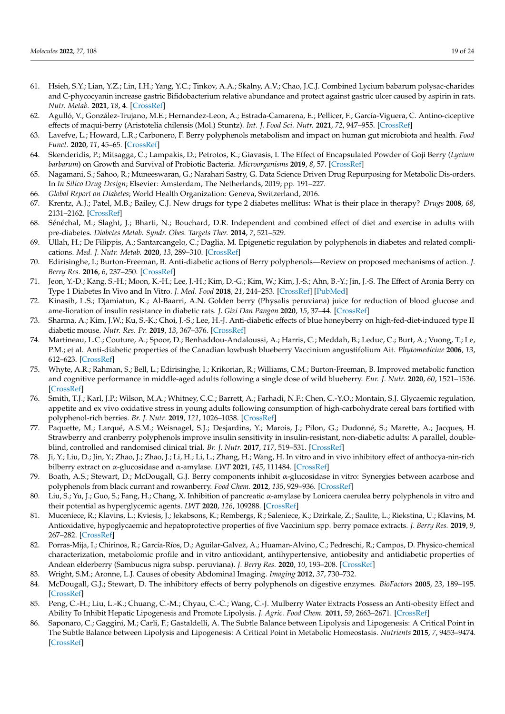- <span id="page-18-0"></span>61. Hsieh, S.Y.; Lian, Y.Z.; Lin, I.H.; Yang, Y.C.; Tinkov, A.A.; Skalny, A.V.; Chao, J.C.J. Combined Lycium babarum polysac-charides and C-phycocyanin increase gastric Bifidobacterium relative abundance and protect against gastric ulcer caused by aspirin in rats. *Nutr. Metab.* **2021**, *18*, 4. [\[CrossRef\]](http://doi.org/10.1186/s12986-020-00538-9)
- <span id="page-18-1"></span>62. Agulló, V.; González-Trujano, M.E.; Hernandez-Leon, A.; Estrada-Camarena, E.; Pellicer, F.; García-Viguera, C. Antino-ciceptive effects of maqui-berry (Aristotelia chilensis (Mol.) Stuntz). *Int. J. Food Sci. Nutr.* **2021**, *72*, 947–955. [\[CrossRef\]](http://doi.org/10.1080/09637486.2021.1895727)
- <span id="page-18-2"></span>63. Lavefve, L.; Howard, L.R.; Carbonero, F. Berry polyphenols metabolism and impact on human gut microbiota and health. *Food Funct.* **2020**, *11*, 45–65. [\[CrossRef\]](http://doi.org/10.1039/C9FO01634A)
- <span id="page-18-3"></span>64. Skenderidis, P.; Mitsagga, C.; Lampakis, D.; Petrotos, K.; Giavasis, I. The Effect of Encapsulated Powder of Goji Berry (*Lycium barbarum*) on Growth and Survival of Probiotic Bacteria. *Microorganisms* **2019**, *8*, 57. [\[CrossRef\]](http://doi.org/10.3390/microorganisms8010057)
- <span id="page-18-4"></span>65. Nagamani, S.; Sahoo, R.; Muneeswaran, G.; Narahari Sastry, G. Data Science Driven Drug Repurposing for Metabolic Dis-orders. In *In Silico Drug Design*; Elsevier: Amsterdam, The Netherlands, 2019; pp. 191–227.
- <span id="page-18-5"></span>66. *Global Report on Diabetes*; World Health Organization: Geneva, Switzerland, 2016.
- <span id="page-18-6"></span>67. Krentz, A.J.; Patel, M.B.; Bailey, C.J. New drugs for type 2 diabetes mellitus: What is their place in therapy? *Drugs* **2008**, *68*, 2131–2162. [\[CrossRef\]](http://doi.org/10.2165/00003495-200868150-00005)
- <span id="page-18-7"></span>68. Sénéchal, M.; Slaght, J.; Bharti, N.; Bouchard, D.R. Independent and combined effect of diet and exercise in adults with pre-diabetes. *Diabetes Metab. Syndr. Obes. Targets Ther.* **2014**, *7*, 521–529.
- <span id="page-18-8"></span>69. Ullah, H.; De Filippis, A.; Santarcangelo, C.; Daglia, M. Epigenetic regulation by polyphenols in diabetes and related complications. *Med. J. Nutr. Metab.* **2020**, *13*, 289–310. [\[CrossRef\]](http://doi.org/10.3233/MNM-200489)
- <span id="page-18-9"></span>70. Edirisinghe, I.; Burton-Freeman, B. Anti-diabetic actions of Berry polyphenols—Review on proposed mechanisms of action. *J. Berry Res.* **2016**, *6*, 237–250. [\[CrossRef\]](http://doi.org/10.3233/JBR-160137)
- <span id="page-18-10"></span>71. Jeon, Y.-D.; Kang, S.-H.; Moon, K.-H.; Lee, J.-H.; Kim, D.-G.; Kim, W.; Kim, J.-S.; Ahn, B.-Y.; Jin, J.-S. The Effect of Aronia Berry on Type 1 Diabetes In Vivo and In Vitro. *J. Med. Food* **2018**, *21*, 244–253. [\[CrossRef\]](http://doi.org/10.1089/jmf.2017.3939) [\[PubMed\]](http://www.ncbi.nlm.nih.gov/pubmed/29470134)
- <span id="page-18-11"></span>72. Kinasih, L.S.; Djamiatun, K.; Al-Baarri, A.N. Golden berry (Physalis peruviana) juice for reduction of blood glucose and ame-lioration of insulin resistance in diabetic rats. *J. Gizi Dan Pangan* **2020**, *15*, 37–44. [\[CrossRef\]](http://doi.org/10.25182/jgp.2020.15.1.37-44)
- <span id="page-18-12"></span>73. Sharma, A.; Kim, J.W.; Ku, S.-K.; Choi, J.-S.; Lee, H.-J. Anti-diabetic effects of blue honeyberry on high-fed-diet-induced type II diabetic mouse. *Nutr. Res. Pr.* **2019**, *13*, 367–376. [\[CrossRef\]](http://doi.org/10.4162/nrp.2019.13.5.367)
- <span id="page-18-13"></span>74. Martineau, L.C.; Couture, A.; Spoor, D.; Benhaddou-Andaloussi, A.; Harris, C.; Meddah, B.; Leduc, C.; Burt, A.; Vuong, T.; Le, P.M.; et al. Anti-diabetic properties of the Canadian lowbush blueberry Vaccinium angustifolium Ait. *Phytomedicine* **2006**, *13*, 612–623. [\[CrossRef\]](http://doi.org/10.1016/j.phymed.2006.08.005)
- <span id="page-18-14"></span>75. Whyte, A.R.; Rahman, S.; Bell, L.; Edirisinghe, I.; Krikorian, R.; Williams, C.M.; Burton-Freeman, B. Improved metabolic function and cognitive performance in middle-aged adults following a single dose of wild blueberry. *Eur. J. Nutr.* **2020**, *60*, 1521–1536. [\[CrossRef\]](http://doi.org/10.1007/s00394-020-02336-8)
- <span id="page-18-15"></span>76. Smith, T.J.; Karl, J.P.; Wilson, M.A.; Whitney, C.C.; Barrett, A.; Farhadi, N.F.; Chen, C.-Y.O.; Montain, S.J. Glycaemic regulation, appetite and ex vivo oxidative stress in young adults following consumption of high-carbohydrate cereal bars fortified with polyphenol-rich berries. *Br. J. Nutr.* **2019**, *121*, 1026–1038. [\[CrossRef\]](http://doi.org/10.1017/S0007114519000394)
- <span id="page-18-16"></span>77. Paquette, M.; Larqué, A.S.M.; Weisnagel, S.J.; Desjardins, Y.; Marois, J.; Pilon, G.; Dudonné, S.; Marette, A.; Jacques, H. Strawberry and cranberry polyphenols improve insulin sensitivity in insulin-resistant, non-diabetic adults: A parallel, doubleblind, controlled and randomised clinical trial. *Br. J. Nutr.* **2017**, *117*, 519–531. [\[CrossRef\]](http://doi.org/10.1017/S0007114517000393)
- <span id="page-18-17"></span>78. Ji, Y.; Liu, D.; Jin, Y.; Zhao, J.; Zhao, J.; Li, H.; Li, L.; Zhang, H.; Wang, H. In vitro and in vivo inhibitory effect of anthocya-nin-rich bilberry extract on α-glucosidase and α-amylase. *LWT* **2021**, *145*, 111484. [\[CrossRef\]](http://doi.org/10.1016/j.lwt.2021.111484)
- <span id="page-18-18"></span>79. Boath, A.S.; Stewart, D.; McDougall, G.J. Berry components inhibit α-glucosidase in vitro: Synergies between acarbose and polyphenols from black currant and rowanberry. *Food Chem.* **2012**, *135*, 929–936. [\[CrossRef\]](http://doi.org/10.1016/j.foodchem.2012.06.065)
- <span id="page-18-19"></span>80. Liu, S.; Yu, J.; Guo, S.; Fang, H.; Chang, X. Inhibition of pancreatic α-amylase by Lonicera caerulea berry polyphenols in vitro and their potential as hyperglycemic agents. *LWT* **2020**, *126*, 109288. [\[CrossRef\]](http://doi.org/10.1016/j.lwt.2020.109288)
- <span id="page-18-20"></span>81. Muceniece, R.; Klavins, L.; Kviesis, J.; Jekabsons, K.; Rembergs, R.; Saleniece, K.; Dzirkale, Z.; Saulite, L.; Riekstina, U.; Klavins, M. Antioxidative, hypoglycaemic and hepatoprotective properties of five Vaccinium spp. berry pomace extracts. *J. Berry Res.* **2019**, *9*, 267–282. [\[CrossRef\]](http://doi.org/10.3233/JBR-180351)
- <span id="page-18-21"></span>82. Porras-Mija, I.; Chirinos, R.; García-Ríos, D.; Aguilar-Galvez, A.; Huaman-Alvino, C.; Pedreschi, R.; Campos, D. Physico-chemical characterization, metabolomic profile and in vitro antioxidant, antihypertensive, antiobesity and antidiabetic properties of Andean elderberry (Sambucus nigra subsp. peruviana). *J. Berry Res.* **2020**, *10*, 193–208. [\[CrossRef\]](http://doi.org/10.3233/JBR-190439)
- <span id="page-18-22"></span>83. Wright, S.M.; Aronne, L.J. Causes of obesity Abdominal Imaging. *Imaging* **2012**, *37*, 730–732.
- <span id="page-18-23"></span>84. McDougall, G.J.; Stewart, D. The inhibitory effects of berry polyphenols on digestive enzymes. *BioFactors* **2005**, *23*, 189–195. [\[CrossRef\]](http://doi.org/10.1002/biof.5520230403)
- <span id="page-18-24"></span>85. Peng, C.-H.; Liu, L.-K.; Chuang, C.-M.; Chyau, C.-C.; Wang, C.-J. Mulberry Water Extracts Possess an Anti-obesity Effect and Ability To Inhibit Hepatic Lipogenesis and Promote Lipolysis. *J. Agric. Food Chem.* **2011**, *59*, 2663–2671. [\[CrossRef\]](http://doi.org/10.1021/jf1043508)
- <span id="page-18-25"></span>86. Saponaro, C.; Gaggini, M.; Carli, F.; Gastaldelli, A. The Subtle Balance between Lipolysis and Lipogenesis: A Critical Point in The Subtle Balance between Lipolysis and Lipogenesis: A Critical Point in Metabolic Homeostasis. *Nutrients* **2015**, *7*, 9453–9474. [\[CrossRef\]](http://doi.org/10.3390/nu7115475)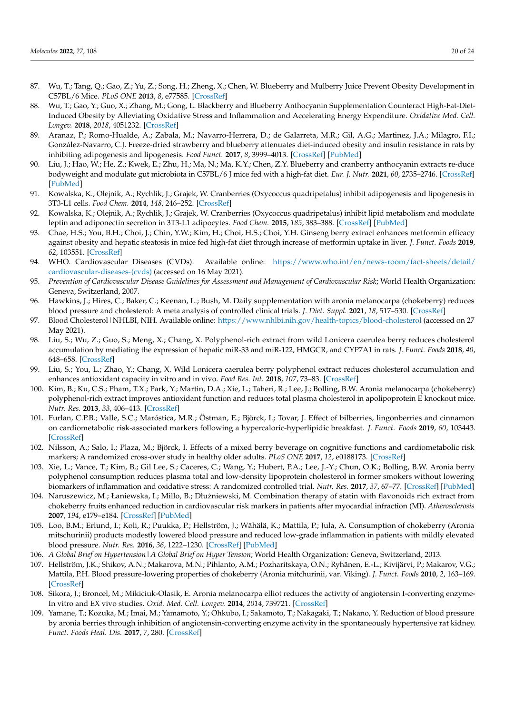- <span id="page-19-0"></span>87. Wu, T.; Tang, Q.; Gao, Z.; Yu, Z.; Song, H.; Zheng, X.; Chen, W. Blueberry and Mulberry Juice Prevent Obesity Development in C57BL/6 Mice. *PLoS ONE* **2013**, *8*, e77585. [\[CrossRef\]](http://doi.org/10.1371/journal.pone.0077585)
- <span id="page-19-1"></span>88. Wu, T.; Gao, Y.; Guo, X.; Zhang, M.; Gong, L. Blackberry and Blueberry Anthocyanin Supplementation Counteract High-Fat-Diet-Induced Obesity by Alleviating Oxidative Stress and Inflammation and Accelerating Energy Expenditure. *Oxidative Med. Cell. Longev.* **2018**, *2018*, 4051232. [\[CrossRef\]](http://doi.org/10.1155/2018/4051232)
- <span id="page-19-2"></span>89. Aranaz, P.; Romo-Hualde, A.; Zabala, M.; Navarro-Herrera, D.; de Galarreta, M.R.; Gil, A.G.; Martinez, J.A.; Milagro, F.I.; González-Navarro, C.J. Freeze-dried strawberry and blueberry attenuates diet-induced obesity and insulin resistance in rats by inhibiting adipogenesis and lipogenesis. *Food Funct.* **2017**, *8*, 3999–4013. [\[CrossRef\]](http://doi.org/10.1039/C7FO00996H) [\[PubMed\]](http://www.ncbi.nlm.nih.gov/pubmed/29022978)
- <span id="page-19-3"></span>90. Liu, J.; Hao, W.; He, Z.; Kwek, E.; Zhu, H.; Ma, N.; Ma, K.Y.; Chen, Z.Y. Blueberry and cranberry anthocyanin extracts re-duce bodyweight and modulate gut microbiota in C57BL/6 J mice fed with a high-fat diet. *Eur. J. Nutr.* **2021**, *60*, 2735–2746. [\[CrossRef\]](http://doi.org/10.1007/s00394-020-02446-3) [\[PubMed\]](http://www.ncbi.nlm.nih.gov/pubmed/33392758)
- 91. Kowalska, K.; Olejnik, A.; Rychlik, J.; Grajek, W. Cranberries (Oxycoccus quadripetalus) inhibit adipogenesis and lipogenesis in 3T3-L1 cells. *Food Chem.* **2014**, *148*, 246–252. [\[CrossRef\]](http://doi.org/10.1016/j.foodchem.2013.10.032)
- <span id="page-19-4"></span>92. Kowalska, K.; Olejnik, A.; Rychlik, J.; Grajek, W. Cranberries (Oxycoccus quadripetalus) inhibit lipid metabolism and modulate leptin and adiponectin secretion in 3T3-L1 adipocytes. *Food Chem.* **2015**, *185*, 383–388. [\[CrossRef\]](http://doi.org/10.1016/j.foodchem.2015.03.152) [\[PubMed\]](http://www.ncbi.nlm.nih.gov/pubmed/25952883)
- <span id="page-19-5"></span>93. Chae, H.S.; You, B.H.; Choi, J.; Chin, Y.W.; Kim, H.; Choi, H.S.; Choi, Y.H. Ginseng berry extract enhances metformin efficacy against obesity and hepatic steatosis in mice fed high-fat diet through increase of metformin uptake in liver. *J. Funct. Foods* **2019**, *62*, 103551. [\[CrossRef\]](http://doi.org/10.1016/j.jff.2019.103551)
- <span id="page-19-6"></span>94. WHO. Cardiovascular Diseases (CVDs). Available online: [https://www.who.int/en/news-room/fact-sheets/detail/](https://www.who.int/en/news-room/fact-sheets/detail/cardiovascular-diseases-(cvds)) [cardiovascular-diseases-\(cvds\)](https://www.who.int/en/news-room/fact-sheets/detail/cardiovascular-diseases-(cvds)) (accessed on 16 May 2021).
- <span id="page-19-7"></span>95. *Prevention of Cardiovascular Disease Guidelines for Assessment and Management of Cardiovascular Risk*; World Health Organization: Geneva, Switzerland, 2007.
- <span id="page-19-8"></span>96. Hawkins, J.; Hires, C.; Baker, C.; Keenan, L.; Bush, M. Daily supplementation with aronia melanocarpa (chokeberry) reduces blood pressure and cholesterol: A meta analysis of controlled clinical trials. *J. Diet. Suppl.* **2021**, *18*, 517–530. [\[CrossRef\]](http://doi.org/10.1080/19390211.2020.1800887)
- <span id="page-19-9"></span>97. Blood Cholesterol | NHLBI, NIH. Available online: <https://www.nhlbi.nih.gov/health-topics/blood-cholesterol> (accessed on 27 May 2021).
- <span id="page-19-10"></span>98. Liu, S.; Wu, Z.; Guo, S.; Meng, X.; Chang, X. Polyphenol-rich extract from wild Lonicera caerulea berry reduces cholesterol accumulation by mediating the expression of hepatic miR-33 and miR-122, HMGCR, and CYP7A1 in rats. *J. Funct. Foods* **2018**, *40*, 648–658. [\[CrossRef\]](http://doi.org/10.1016/j.jff.2017.11.048)
- <span id="page-19-11"></span>99. Liu, S.; You, L.; Zhao, Y.; Chang, X. Wild Lonicera caerulea berry polyphenol extract reduces cholesterol accumulation and enhances antioxidant capacity in vitro and in vivo. *Food Res. Int.* **2018**, *107*, 73–83. [\[CrossRef\]](http://doi.org/10.1016/j.foodres.2018.02.016)
- <span id="page-19-12"></span>100. Kim, B.; Ku, C.S.; Pham, T.X.; Park, Y.; Martin, D.A.; Xie, L.; Taheri, R.; Lee, J.; Bolling, B.W. Aronia melanocarpa (chokeberry) polyphenol-rich extract improves antioxidant function and reduces total plasma cholesterol in apolipoprotein E knockout mice. *Nutr. Res.* **2013**, *33*, 406–413. [\[CrossRef\]](http://doi.org/10.1016/j.nutres.2013.03.001)
- <span id="page-19-13"></span>101. Furlan, C.P.B.; Valle, S.C.; Maróstica, M.R.; Östman, E.; Björck, I.; Tovar, J. Effect of bilberries, lingonberries and cinnamon on cardiometabolic risk-associated markers following a hypercaloric-hyperlipidic breakfast. *J. Funct. Foods* **2019**, *60*, 103443. [\[CrossRef\]](http://doi.org/10.1016/j.jff.2019.103443)
- <span id="page-19-14"></span>102. Nilsson, A.; Salo, I.; Plaza, M.; Björck, I. Effects of a mixed berry beverage on cognitive functions and cardiometabolic risk markers; A randomized cross-over study in healthy older adults. *PLoS ONE* **2017**, *12*, e0188173. [\[CrossRef\]](http://doi.org/10.1371/journal.pone.0188173)
- <span id="page-19-15"></span>103. Xie, L.; Vance, T.; Kim, B.; Gil Lee, S.; Caceres, C.; Wang, Y.; Hubert, P.A.; Lee, J.-Y.; Chun, O.K.; Bolling, B.W. Aronia berry polyphenol consumption reduces plasma total and low-density lipoprotein cholesterol in former smokers without lowering biomarkers of inflammation and oxidative stress: A randomized controlled trial. *Nutr. Res.* **2017**, *37*, 67–77. [\[CrossRef\]](http://doi.org/10.1016/j.nutres.2016.12.007) [\[PubMed\]](http://www.ncbi.nlm.nih.gov/pubmed/28215316)
- <span id="page-19-16"></span>104. Naruszewicz, M.; Łaniewska, I.; Millo, B.; Dłuzniewski, M. Combination therapy of statin with flavonoids rich extract from ˙ chokeberry fruits enhanced reduction in cardiovascular risk markers in patients after myocardial infraction (MI). *Atherosclerosis* **2007**, *194*, e179–e184. [\[CrossRef\]](http://doi.org/10.1016/j.atherosclerosis.2006.12.032) [\[PubMed\]](http://www.ncbi.nlm.nih.gov/pubmed/17320090)
- <span id="page-19-17"></span>105. Loo, B.M.; Erlund, I.; Koli, R.; Puukka, P.; Hellström, J.; Wähälä, K.; Mattila, P.; Jula, A. Consumption of chokeberry (Aronia mitschurinii) products modestly lowered blood pressure and reduced low-grade inflammation in patients with mildly elevated blood pressure. *Nutr. Res.* **2016**, *36*, 1222–1230. [\[CrossRef\]](http://doi.org/10.1016/j.nutres.2016.09.005) [\[PubMed\]](http://www.ncbi.nlm.nih.gov/pubmed/27865620)
- <span id="page-19-18"></span>106. *A Global Brief on Hypertension|A Global Brief on Hyper Tension*; World Health Organization: Geneva, Switzerland, 2013.
- <span id="page-19-19"></span>107. Hellström, J.K.; Shikov, A.N.; Makarova, M.N.; Pihlanto, A.M.; Pozharitskaya, O.N.; Ryhänen, E.-L.; Kivijärvi, P.; Makarov, V.G.; Mattila, P.H. Blood pressure-lowering properties of chokeberry (Aronia mitchurinii, var. Viking). *J. Funct. Foods* **2010**, *2*, 163–169. [\[CrossRef\]](http://doi.org/10.1016/j.jff.2010.04.004)
- <span id="page-19-20"></span>108. Sikora, J.; Broncel, M.; Mikiciuk-Olasik, E. Aronia melanocarpa elliot reduces the activity of angiotensin I-converting enzyme-In vitro and EX vivo studies. *Oxid. Med. Cell. Longev.* **2014**, *2014*, 739721. [\[CrossRef\]](http://doi.org/10.1155/2014/739721)
- <span id="page-19-21"></span>109. Yamane, T.; Kozuka, M.; Imai, M.; Yamamoto, Y.; Ohkubo, I.; Sakamoto, T.; Nakagaki, T.; Nakano, Y. Reduction of blood pressure by aronia berries through inhibition of angiotensin-converting enzyme activity in the spontaneously hypertensive rat kidney. *Funct. Foods Heal. Dis.* **2017**, *7*, 280. [\[CrossRef\]](http://doi.org/10.31989/ffhd.v7i4.354)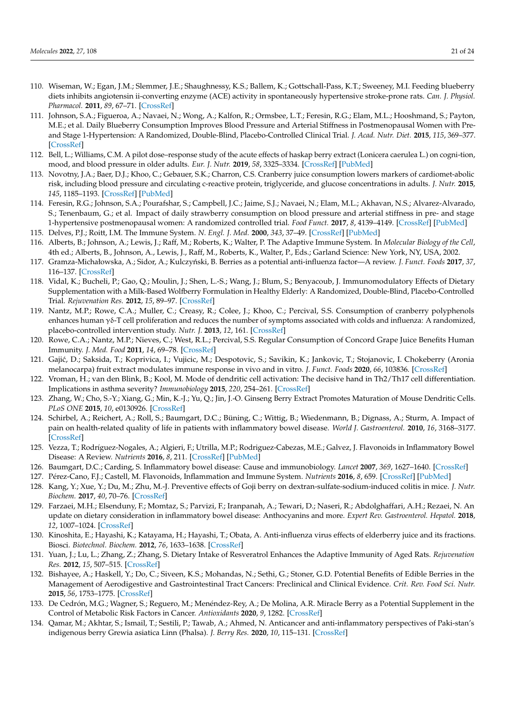- <span id="page-20-0"></span>110. Wiseman, W.; Egan, J.M.; Slemmer, J.E.; Shaughnessy, K.S.; Ballem, K.; Gottschall-Pass, K.T.; Sweeney, M.I. Feeding blueberry diets inhibits angiotensin ii-converting enzyme (ACE) activity in spontaneously hypertensive stroke-prone rats. *Can. J. Physiol. Pharmacol.* **2011**, *89*, 67–71. [\[CrossRef\]](http://doi.org/10.1139/Y10-101)
- <span id="page-20-1"></span>111. Johnson, S.A.; Figueroa, A.; Navaei, N.; Wong, A.; Kalfon, R.; Ormsbee, L.T.; Feresin, R.G.; Elam, M.L.; Hooshmand, S.; Payton, M.E.; et al. Daily Blueberry Consumption Improves Blood Pressure and Arterial Stiffness in Postmenopausal Women with Preand Stage 1-Hypertension: A Randomized, Double-Blind, Placebo-Controlled Clinical Trial. *J. Acad. Nutr. Diet.* **2015**, *115*, 369–377. [\[CrossRef\]](http://doi.org/10.1016/j.jand.2014.11.001)
- <span id="page-20-2"></span>112. Bell, L.; Williams, C.M. A pilot dose–response study of the acute effects of haskap berry extract (Lonicera caerulea L.) on cogni-tion, mood, and blood pressure in older adults. *Eur. J. Nutr.* **2019**, *58*, 3325–3334. [\[CrossRef\]](http://doi.org/10.1007/s00394-018-1877-9) [\[PubMed\]](http://www.ncbi.nlm.nih.gov/pubmed/30535796)
- <span id="page-20-3"></span>113. Novotny, J.A.; Baer, D.J.; Khoo, C.; Gebauer, S.K.; Charron, C.S. Cranberry juice consumption lowers markers of cardiomet-abolic risk, including blood pressure and circulating c-reactive protein, triglyceride, and glucose concentrations in adults. *J. Nutr.* **2015**, *145*, 1185–1193. [\[CrossRef\]](http://doi.org/10.3945/jn.114.203190) [\[PubMed\]](http://www.ncbi.nlm.nih.gov/pubmed/25904733)
- <span id="page-20-4"></span>114. Feresin, R.G.; Johnson, S.A.; Pourafshar, S.; Campbell, J.C.; Jaime, S.J.; Navaei, N.; Elam, M.L.; Akhavan, N.S.; Alvarez-Alvarado, S.; Tenenbaum, G.; et al. Impact of daily strawberry consumption on blood pressure and arterial stiffness in pre- and stage 1-hypertensive postmenopausal women: A randomized controlled trial. *Food Funct.* **2017**, *8*, 4139–4149. [\[CrossRef\]](http://doi.org/10.1039/C7FO01183K) [\[PubMed\]](http://www.ncbi.nlm.nih.gov/pubmed/29099521)
- <span id="page-20-6"></span><span id="page-20-5"></span>115. Delves, P.J.; Roitt, I.M. The Immune System. *N. Engl. J. Med.* **2000**, *343*, 37–49. [\[CrossRef\]](http://doi.org/10.1056/NEJM200007063430107) [\[PubMed\]](http://www.ncbi.nlm.nih.gov/pubmed/10882768) 116. Alberts, B.; Johnson, A.; Lewis, J.; Raff, M.; Roberts, K.; Walter, P. The Adaptive Immune System. In *Molecular Biology of the Cell*,
- <span id="page-20-7"></span>4th ed.; Alberts, B., Johnson, A., Lewis, J., Raff, M., Roberts, K., Walter, P., Eds.; Garland Science: New York, NY, USA, 2002. 117. Gramza-Michałowska, A.; Sidor, A.; Kulczyński, B. Berries as a potential anti-influenza factor—A review. *J. Funct. Foods* 2017, 37, 116–137. [\[CrossRef\]](http://doi.org/10.1016/j.jff.2017.07.050)
- <span id="page-20-8"></span>118. Vidal, K.; Bucheli, P.; Gao, Q.; Moulin, J.; Shen, L.-S.; Wang, J.; Blum, S.; Benyacoub, J. Immunomodulatory Effects of Dietary Supplementation with a Milk-Based Wolfberry Formulation in Healthy Elderly: A Randomized, Double-Blind, Placebo-Controlled Trial. *Rejuvenation Res.* **2012**, *15*, 89–97. [\[CrossRef\]](http://doi.org/10.1089/rej.2011.1241)
- <span id="page-20-9"></span>119. Nantz, M.P.; Rowe, C.A.; Muller, C.; Creasy, R.; Colee, J.; Khoo, C.; Percival, S.S. Consumption of cranberry polyphenols enhances human γδ-T cell proliferation and reduces the number of symptoms associated with colds and influenza: A randomized, placebo-controlled intervention study. *Nutr. J.* **2013**, *12*, 161. [\[CrossRef\]](http://doi.org/10.1186/1475-2891-12-161)
- <span id="page-20-10"></span>120. Rowe, C.A.; Nantz, M.P.; Nieves, C.; West, R.L.; Percival, S.S. Regular Consumption of Concord Grape Juice Benefits Human Immunity. *J. Med. Food* **2011**, *14*, 69–78. [\[CrossRef\]](http://doi.org/10.1089/jmf.2010.0055)
- <span id="page-20-11"></span>121. Gajić, D.; Saksida, T.; Koprivica, I.; Vujicic, M.; Despotovic, S.; Savikin, K.; Jankovic, T.; Stojanovic, I. Chokeberry (Aronia melanocarpa) fruit extract modulates immune response in vivo and in vitro. *J. Funct. Foods* **2020**, *66*, 103836. [\[CrossRef\]](http://doi.org/10.1016/j.jff.2020.103836)
- <span id="page-20-12"></span>122. Vroman, H.; van den Blink, B.; Kool, M. Mode of dendritic cell activation: The decisive hand in Th2/Th17 cell differentiation. Implications in asthma severity? *Immunobiology* **2015**, *220*, 254–261. [\[CrossRef\]](http://doi.org/10.1016/j.imbio.2014.09.016)
- <span id="page-20-13"></span>123. Zhang, W.; Cho, S.-Y.; Xiang, G.; Min, K.-J.; Yu, Q.; Jin, J.-O. Ginseng Berry Extract Promotes Maturation of Mouse Dendritic Cells. *PLoS ONE* **2015**, *10*, e0130926. [\[CrossRef\]](http://doi.org/10.1371/journal.pone.0130926)
- <span id="page-20-14"></span>124. Schirbel, A.; Reichert, A.; Roll, S.; Baumgart, D.C.; Büning, C.; Wittig, B.; Wiedenmann, B.; Dignass, A.; Sturm, A. Impact of pain on health-related quality of life in patients with inflammatory bowel disease. *World J. Gastroenterol.* **2010**, *16*, 3168–3177. [\[CrossRef\]](http://doi.org/10.3748/wjg.v16.i25.3168)
- <span id="page-20-15"></span>125. Vezza, T.; Rodríguez-Nogales, A.; Algieri, F.; Utrilla, M.P.; Rodriguez-Cabezas, M.E.; Galvez, J. Flavonoids in Inflammatory Bowel Disease: A Review. *Nutrients* **2016**, *8*, 211. [\[CrossRef\]](http://doi.org/10.3390/nu8040211) [\[PubMed\]](http://www.ncbi.nlm.nih.gov/pubmed/27070642)
- <span id="page-20-16"></span>126. Baumgart, D.C.; Carding, S. Inflammatory bowel disease: Cause and immunobiology. *Lancet* **2007**, *369*, 1627–1640. [\[CrossRef\]](http://doi.org/10.1016/S0140-6736(07)60750-8)
- <span id="page-20-17"></span>127. Pérez-Cano, F.J.; Castell, M. Flavonoids, Inflammation and Immune System. *Nutrients* **2016**, *8*, 659. [\[CrossRef\]](http://doi.org/10.3390/nu8100659) [\[PubMed\]](http://www.ncbi.nlm.nih.gov/pubmed/27775647)
- <span id="page-20-18"></span>128. Kang, Y.; Xue, Y.; Du, M.; Zhu, M.-J. Preventive effects of Goji berry on dextran-sulfate-sodium-induced colitis in mice. *J. Nutr. Biochem.* **2017**, *40*, 70–76. [\[CrossRef\]](http://doi.org/10.1016/j.jnutbio.2016.10.009)
- <span id="page-20-19"></span>129. Farzaei, M.H.; Elsenduny, F.; Momtaz, S.; Parvizi, F.; Iranpanah, A.; Tewari, D.; Naseri, R.; Abdolghaffari, A.H.; Rezaei, N. An update on dietary consideration in inflammatory bowel disease: Anthocyanins and more. *Expert Rev. Gastroenterol. Hepatol.* **2018**, *12*, 1007–1024. [\[CrossRef\]](http://doi.org/10.1080/17474124.2018.1513322)
- <span id="page-20-20"></span>130. Kinoshita, E.; Hayashi, K.; Katayama, H.; Hayashi, T.; Obata, A. Anti-influenza virus effects of elderberry juice and its fractions. Biosci. *Biotechnol. Biochem.* **2012**, *76*, 1633–1638. [\[CrossRef\]](http://doi.org/10.1271/bbb.120112)
- <span id="page-20-21"></span>131. Yuan, J.; Lu, L.; Zhang, Z.; Zhang, S. Dietary Intake of Resveratrol Enhances the Adaptive Immunity of Aged Rats. *Rejuvenation Res.* **2012**, *15*, 507–515. [\[CrossRef\]](http://doi.org/10.1089/rej.2012.1321)
- <span id="page-20-22"></span>132. Bishayee, A.; Haskell, Y.; Do, C.; Siveen, K.S.; Mohandas, N.; Sethi, G.; Stoner, G.D. Potential Benefits of Edible Berries in the Management of Aerodigestive and Gastrointestinal Tract Cancers: Preclinical and Clinical Evidence. *Crit. Rev. Food Sci. Nutr.* **2015**, *56*, 1753–1775. [\[CrossRef\]](http://doi.org/10.1080/10408398.2014.982243)
- 133. De Cedrón, M.G.; Wagner, S.; Reguero, M.; Menéndez-Rey, A.; De Molina, A.R. Miracle Berry as a Potential Supplement in the Control of Metabolic Risk Factors in Cancer. *Antioxidants* **2020**, *9*, 1282. [\[CrossRef\]](http://doi.org/10.3390/antiox9121282)
- 134. Qamar, M.; Akhtar, S.; Ismail, T.; Sestili, P.; Tawab, A.; Ahmed, N. Anticancer and anti-inflammatory perspectives of Paki-stan's indigenous berry Grewia asiatica Linn (Phalsa). *J. Berry Res.* **2020**, *10*, 115–131. [\[CrossRef\]](http://doi.org/10.3233/JBR-190459)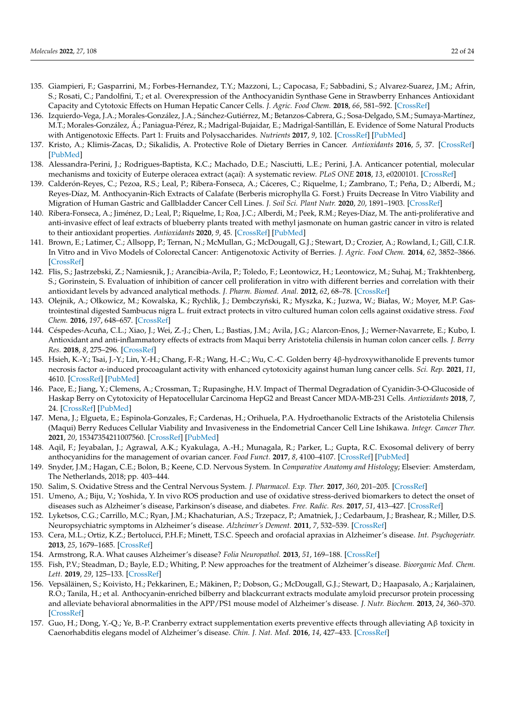- <span id="page-21-0"></span>135. Giampieri, F.; Gasparrini, M.; Forbes-Hernandez, T.Y.; Mazzoni, L.; Capocasa, F.; Sabbadini, S.; Alvarez-Suarez, J.M.; Afrin, S.; Rosati, C.; Pandolfini, T.; et al. Overexpression of the Anthocyanidin Synthase Gene in Strawberry Enhances Antioxidant Capacity and Cytotoxic Effects on Human Hepatic Cancer Cells. *J. Agric. Food Chem.* **2018**, *66*, 581–592. [\[CrossRef\]](http://doi.org/10.1021/acs.jafc.7b04177)
- <span id="page-21-1"></span>136. Izquierdo-Vega, J.A.; Morales-González, J.A.; Sánchez-Gutiérrez, M.; Betanzos-Cabrera, G.; Sosa-Delgado, S.M.; Sumaya-Martínez, M.T.; Morales-González, Á.; Paniagua-Pérez, R.; Madrigal-Bujaidar, E.; Madrigal-Santillán, E. Evidence of Some Natural Products with Antigenotoxic Effects. Part 1: Fruits and Polysaccharides. *Nutrients* **2017**, *9*, 102. [\[CrossRef\]](http://doi.org/10.3390/nu9020102) [\[PubMed\]](http://www.ncbi.nlm.nih.gov/pubmed/28157162)
- <span id="page-21-2"></span>137. Kristo, A.; Klimis-Zacas, D.; Sikalidis, A. Protective Role of Dietary Berries in Cancer. *Antioxidants* **2016**, *5*, 37. [\[CrossRef\]](http://doi.org/10.3390/antiox5040037) [\[PubMed\]](http://www.ncbi.nlm.nih.gov/pubmed/27775562)
- <span id="page-21-3"></span>138. Alessandra-Perini, J.; Rodrigues-Baptista, K.C.; Machado, D.E.; Nasciutti, L.E.; Perini, J.A. Anticancer potential, molecular mechanisms and toxicity of Euterpe oleracea extract (açaí): A systematic review. *PLoS ONE* **2018**, *13*, e0200101. [\[CrossRef\]](http://doi.org/10.1371/journal.pone.0200101)
- <span id="page-21-4"></span>139. Calderón-Reyes, C.; Pezoa, R.S.; Leal, P.; Ribera-Fonseca, A.; Cáceres, C.; Riquelme, I.; Zambrano, T.; Peña, D.; Alberdi, M.; Reyes-Díaz, M. Anthocyanin-Rich Extracts of Calafate (Berberis microphylla G. Forst.) Fruits Decrease In Vitro Viability and Migration of Human Gastric and Gallbladder Cancer Cell Lines. *J. Soil Sci. Plant Nutr.* **2020**, *20*, 1891–1903. [\[CrossRef\]](http://doi.org/10.1007/s42729-020-00260-8)
- <span id="page-21-5"></span>140. Ribera-Fonseca, A.; Jiménez, D.; Leal, P.; Riquelme, I.; Roa, J.C.; Alberdi, M.; Peek, R.M.; Reyes-Díaz, M. The anti-proliferative and anti-invasive effect of leaf extracts of blueberry plants treated with methyl jasmonate on human gastric cancer in vitro is related to their antioxidant properties. *Antioxidants* **2020**, *9*, 45. [\[CrossRef\]](http://doi.org/10.3390/antiox9010045) [\[PubMed\]](http://www.ncbi.nlm.nih.gov/pubmed/31948009)
- <span id="page-21-6"></span>141. Brown, E.; Latimer, C.; Allsopp, P.; Ternan, N.; McMullan, G.; McDougall, G.J.; Stewart, D.; Crozier, A.; Rowland, I.; Gill, C.I.R. In Vitro and in Vivo Models of Colorectal Cancer: Antigenotoxic Activity of Berries. *J. Agric. Food Chem.* **2014**, *62*, 3852–3866. [\[CrossRef\]](http://doi.org/10.1021/jf4050759)
- <span id="page-21-7"></span>142. Flis, S.; Jastrzebski, Z.; Namiesnik, J.; Arancibia-Avila, P.; Toledo, F.; Leontowicz, H.; Leontowicz, M.; Suhaj, M.; Trakhtenberg, S.; Gorinstein, S. Evaluation of inhibition of cancer cell proliferation in vitro with different berries and correlation with their antioxidant levels by advanced analytical methods. *J. Pharm. Biomed. Anal.* **2012**, *62*, 68–78. [\[CrossRef\]](http://doi.org/10.1016/j.jpba.2012.01.005)
- <span id="page-21-8"></span>143. Olejnik, A.; Olkowicz, M.; Kowalska, K.; Rychlik, J.; Dembczyński, R.; Myszka, K.; Juzwa, W.; Białas, W.; Moyer, M.P. Gastrointestinal digested Sambucus nigra L. fruit extract protects in vitro cultured human colon cells against oxidative stress. *Food Chem.* **2016**, *197*, 648–657. [\[CrossRef\]](http://doi.org/10.1016/j.foodchem.2015.11.017)
- <span id="page-21-9"></span>144. Céspedes-Acuña, C.L.; Xiao, J.; Wei, Z.-J.; Chen, L.; Bastias, J.M.; Avila, J.G.; Alarcon-Enos, J.; Werner-Navarrete, E.; Kubo, I. Antioxidant and anti-inflammatory effects of extracts from Maqui berry Aristotelia chilensis in human colon cancer cells. *J. Berry Res.* **2018**, *8*, 275–296. [\[CrossRef\]](http://doi.org/10.3233/JBR-180356)
- <span id="page-21-10"></span>145. Hsieh, K.-Y.; Tsai, J.-Y.; Lin, Y.-H.; Chang, F.-R.; Wang, H.-C.; Wu, C.-C. Golden berry 4β-hydroxywithanolide E prevents tumor necrosis factor α-induced procoagulant activity with enhanced cytotoxicity against human lung cancer cells. *Sci. Rep.* **2021**, *11*, 4610. [\[CrossRef\]](http://doi.org/10.1038/s41598-021-84207-8) [\[PubMed\]](http://www.ncbi.nlm.nih.gov/pubmed/33633307)
- <span id="page-21-11"></span>146. Pace, E.; Jiang, Y.; Clemens, A.; Crossman, T.; Rupasinghe, H.V. Impact of Thermal Degradation of Cyanidin-3-O-Glucoside of Haskap Berry on Cytotoxicity of Hepatocellular Carcinoma HepG2 and Breast Cancer MDA-MB-231 Cells. *Antioxidants* **2018**, *7*, 24. [\[CrossRef\]](http://doi.org/10.3390/antiox7020024) [\[PubMed\]](http://www.ncbi.nlm.nih.gov/pubmed/29382057)
- <span id="page-21-12"></span>147. Mena, J.; Elgueta, E.; Espinola-Gonzales, F.; Cardenas, H.; Orihuela, P.A. Hydroethanolic Extracts of the Aristotelia Chilensis (Maqui) Berry Reduces Cellular Viability and Invasiveness in the Endometrial Cancer Cell Line Ishikawa. *Integr. Cancer Ther.* **2021**, *20*, 15347354211007560. [\[CrossRef\]](http://doi.org/10.1177/15347354211007560) [\[PubMed\]](http://www.ncbi.nlm.nih.gov/pubmed/33926283)
- <span id="page-21-13"></span>148. Aqil, F.; Jeyabalan, J.; Agrawal, A.K.; Kyakulaga, A.-H.; Munagala, R.; Parker, L.; Gupta, R.C. Exosomal delivery of berry anthocyanidins for the management of ovarian cancer. *Food Funct.* **2017**, *8*, 4100–4107. [\[CrossRef\]](http://doi.org/10.1039/C7FO00882A) [\[PubMed\]](http://www.ncbi.nlm.nih.gov/pubmed/28991298)
- <span id="page-21-14"></span>149. Snyder, J.M.; Hagan, C.E.; Bolon, B.; Keene, C.D. Nervous System. In *Comparative Anatomy and Histology*; Elsevier: Amsterdam, The Netherlands, 2018; pp. 403–444.
- <span id="page-21-15"></span>150. Salim, S. Oxidative Stress and the Central Nervous System. *J. Pharmacol. Exp. Ther.* **2017**, *360*, 201–205. [\[CrossRef\]](http://doi.org/10.1124/jpet.116.237503)
- <span id="page-21-16"></span>151. Umeno, A.; Biju, V.; Yoshida, Y. In vivo ROS production and use of oxidative stress-derived biomarkers to detect the onset of diseases such as Alzheimer's disease, Parkinson's disease, and diabetes. *Free. Radic. Res.* **2017**, *51*, 413–427. [\[CrossRef\]](http://doi.org/10.1080/10715762.2017.1315114)
- <span id="page-21-17"></span>152. Lyketsos, C.G.; Carrillo, M.C.; Ryan, J.M.; Khachaturian, A.S.; Trzepacz, P.; Amatniek, J.; Cedarbaum, J.; Brashear, R.; Miller, D.S. Neuropsychiatric symptoms in Alzheimer's disease. *Alzheimer's Dement.* **2011**, *7*, 532–539. [\[CrossRef\]](http://doi.org/10.1016/j.jalz.2011.05.2410)
- <span id="page-21-18"></span>153. Cera, M.L.; Ortiz, K.Z.; Bertolucci, P.H.F.; Minett, T.S.C. Speech and orofacial apraxias in Alzheimer's disease. *Int. Psychogeriatr.* **2013**, *25*, 1679–1685. [\[CrossRef\]](http://doi.org/10.1017/S1041610213000781)
- <span id="page-21-19"></span>154. Armstrong, R.A. What causes Alzheimer's disease? *Folia Neuropathol.* **2013**, *51*, 169–188. [\[CrossRef\]](http://doi.org/10.5114/fn.2013.37702)
- <span id="page-21-20"></span>155. Fish, P.V.; Steadman, D.; Bayle, E.D.; Whiting, P. New approaches for the treatment of Alzheimer's disease. *Bioorganic Med. Chem. Lett.* **2019**, *29*, 125–133. [\[CrossRef\]](http://doi.org/10.1016/j.bmcl.2018.11.034)
- <span id="page-21-21"></span>156. Vepsäläinen, S.; Koivisto, H.; Pekkarinen, E.; Mäkinen, P.; Dobson, G.; McDougall, G.J.; Stewart, D.; Haapasalo, A.; Karjalainen, R.O.; Tanila, H.; et al. Anthocyanin-enriched bilberry and blackcurrant extracts modulate amyloid precursor protein processing and alleviate behavioral abnormalities in the APP/PS1 mouse model of Alzheimer's disease. *J. Nutr. Biochem.* **2013**, *24*, 360–370. [\[CrossRef\]](http://doi.org/10.1016/j.jnutbio.2012.07.006)
- <span id="page-21-22"></span>157. Guo, H.; Dong, Y.-Q.; Ye, B.-P. Cranberry extract supplementation exerts preventive effects through alleviating Aβ toxicity in Caenorhabditis elegans model of Alzheimer's disease. *Chin. J. Nat. Med.* **2016**, *14*, 427–433. [\[CrossRef\]](http://doi.org/10.1016/S1875-5364(16)30039-5)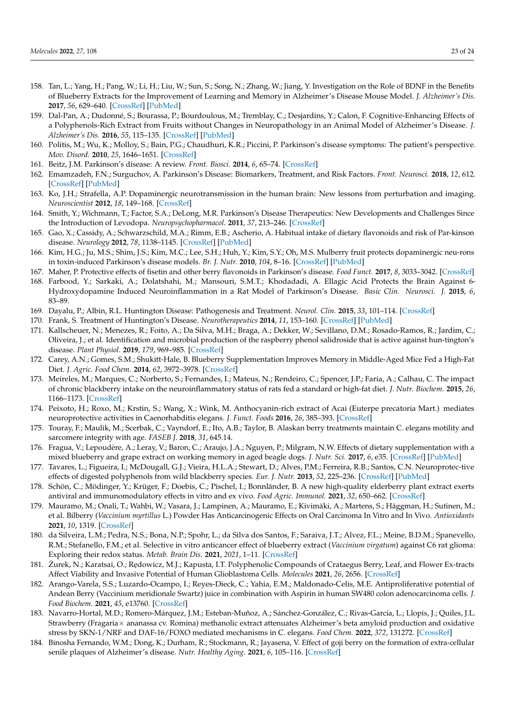- <span id="page-22-0"></span>158. Tan, L.; Yang, H.; Pang, W.; Li, H.; Liu, W.; Sun, S.; Song, N.; Zhang, W.; Jiang, Y. Investigation on the Role of BDNF in the Benefits of Blueberry Extracts for the Improvement of Learning and Memory in Alzheimer's Disease Mouse Model. *J. Alzheimer's Dis.* **2017**, *56*, 629–640. [\[CrossRef\]](http://doi.org/10.3233/JAD-151108) [\[PubMed\]](http://www.ncbi.nlm.nih.gov/pubmed/28035919)
- <span id="page-22-1"></span>159. Dal-Pan, A.; Dudonné, S.; Bourassa, P.; Bourdoulous, M.; Tremblay, C.; Desjardins, Y.; Calon, F. Cognitive-Enhancing Effects of a Polyphenols-Rich Extract from Fruits without Changes in Neuropathology in an Animal Model of Alzheimer's Disease. *J. Alzheimer's Dis.* **2016**, *55*, 115–135. [\[CrossRef\]](http://doi.org/10.3233/JAD-160281) [\[PubMed\]](http://www.ncbi.nlm.nih.gov/pubmed/27662290)
- <span id="page-22-2"></span>160. Politis, M.; Wu, K.; Molloy, S.; Bain, P.G.; Chaudhuri, K.R.; Piccini, P. Parkinson's disease symptoms: The patient's perspective. *Mov. Disord.* **2010**, *25*, 1646–1651. [\[CrossRef\]](http://doi.org/10.1002/mds.23135)
- <span id="page-22-3"></span>161. Beitz, J.M. Parkinson's disease: A review. *Front. Biosci.* **2014**, *6*, 65–74. [\[CrossRef\]](http://doi.org/10.2741/S415)
- <span id="page-22-4"></span>162. Emamzadeh, F.N.; Surguchov, A. Parkinson's Disease: Biomarkers, Treatment, and Risk Factors. *Front. Neurosci.* **2018**, *12*, 612. [\[CrossRef\]](http://doi.org/10.3389/fnins.2018.00612) [\[PubMed\]](http://www.ncbi.nlm.nih.gov/pubmed/30214392)
- <span id="page-22-5"></span>163. Ko, J.H.; Strafella, A.P. Dopaminergic neurotransmission in the human brain: New lessons from perturbation and imaging. *Neuroscientist* **2012**, *18*, 149–168. [\[CrossRef\]](http://doi.org/10.1177/1073858411401413)
- <span id="page-22-6"></span>164. Smith, Y.; Wichmann, T.; Factor, S.A.; DeLong, M.R. Parkinson's Disease Therapeutics: New Developments and Challenges Since the Introduction of Levodopa. *Neuropsychopharmacol.* **2011**, *37*, 213–246. [\[CrossRef\]](http://doi.org/10.1038/npp.2011.212)
- <span id="page-22-7"></span>165. Gao, X.; Cassidy, A.; Schwarzschild, M.A.; Rimm, E.B.; Ascherio, A. Habitual intake of dietary flavonoids and risk of Par-kinson disease. *Neurology* **2012**, *78*, 1138–1145. [\[CrossRef\]](http://doi.org/10.1212/WNL.0b013e31824f7fc4) [\[PubMed\]](http://www.ncbi.nlm.nih.gov/pubmed/22491871)
- <span id="page-22-8"></span>166. Kim, H.G.; Ju, M.S.; Shim, J.S.; Kim, M.C.; Lee, S.H.; Huh, Y.; Kim, S.Y.; Oh, M.S. Mulberry fruit protects dopaminergic neu-rons in toxin-induced Parkinson's disease models. *Br. J. Nutr.* **2010**, *104*, 8–16. [\[CrossRef\]](http://doi.org/10.1017/S0007114510000218) [\[PubMed\]](http://www.ncbi.nlm.nih.gov/pubmed/20187987)
- <span id="page-22-9"></span>167. Maher, P. Protective effects of fisetin and other berry flavonoids in Parkinson's disease. *Food Funct.* **2017**, *8*, 3033–3042. [\[CrossRef\]](http://doi.org/10.1039/C7FO00809K)
- <span id="page-22-10"></span>168. Farbood, Y.; Sarkaki, A.; Dolatshahi, M.; Mansouri, S.M.T.; Khodadadi, A. Ellagic Acid Protects the Brain Against 6- Hydroxydopamine Induced Neuroinflammation in a Rat Model of Parkinson's Disease. *Basic Clin. Neurosci. J.* **2015**, *6*, 83–89.
- <span id="page-22-11"></span>169. Dayalu, P.; Albin, R.L. Huntington Disease: Pathogenesis and Treatment. *Neurol. Clin.* **2015**, *33*, 101–114. [\[CrossRef\]](http://doi.org/10.1016/j.ncl.2014.09.003)
- <span id="page-22-12"></span>170. Frank, S. Treatment of Huntington's Disease. *Neurotherapeutics* **2014**, *11*, 153–160. [\[CrossRef\]](http://doi.org/10.1007/s13311-013-0244-z) [\[PubMed\]](http://www.ncbi.nlm.nih.gov/pubmed/24366610)
- <span id="page-22-13"></span>171. Kallscheuer, N.; Menezes, R.; Foito, A.; Da Silva, M.H.; Braga, A.; Dekker, W.; Sevillano, D.M.; Rosado-Ramos, R.; Jardim, C.; Oliveira, J.; et al. Identification and microbial production of the raspberry phenol salidroside that is active against hun-tington's disease. *Plant Physiol.* **2019**, *179*, 969–985. [\[CrossRef\]](http://doi.org/10.1104/pp.18.01074)
- <span id="page-22-14"></span>172. Carey, A.N.; Gomes, S.M.; Shukitt-Hale, B. Blueberry Supplementation Improves Memory in Middle-Aged Mice Fed a High-Fat Diet. *J. Agric. Food Chem.* **2014**, *62*, 3972–3978. [\[CrossRef\]](http://doi.org/10.1021/jf404565s)
- <span id="page-22-15"></span>173. Meireles, M.; Marques, C.; Norberto, S.; Fernandes, I.; Mateus, N.; Rendeiro, C.; Spencer, J.P.; Faria, A.; Calhau, C. The impact of chronic blackberry intake on the neuroinflammatory status of rats fed a standard or high-fat diet. *J. Nutr. Biochem.* **2015**, *26*, 1166–1173. [\[CrossRef\]](http://doi.org/10.1016/j.jnutbio.2015.05.008)
- <span id="page-22-16"></span>174. Peixoto, H.; Roxo, M.; Krstin, S.; Wang, X.; Wink, M. Anthocyanin-rich extract of Acai (Euterpe precatoria Mart.) mediates neuroprotective activities in Caenorhabditis elegans. *J. Funct. Foods* **2016**, *26*, 385–393. [\[CrossRef\]](http://doi.org/10.1016/j.jff.2016.08.012)
- <span id="page-22-17"></span>175. Touray, F.; Maulik, M.; Scerbak, C.; Vayndorf, E.; Ito, A.B.; Taylor, B. Alaskan berry treatments maintain C. elegans motility and sarcomere integrity with age. *FASEB J.* **2018**, *31*, 645.14.
- <span id="page-22-18"></span>176. Fragua, V.; Lepoudère, A.; Leray, V.; Baron, C.; Araujo, J.A.; Nguyen, P.; Milgram, N.W. Effects of dietary supplementation with a mixed blueberry and grape extract on working memory in aged beagle dogs. *J. Nutr. Sci.* **2017**, *6*, e35. [\[CrossRef\]](http://doi.org/10.1017/jns.2017.33) [\[PubMed\]](http://www.ncbi.nlm.nih.gov/pubmed/29152239)
- <span id="page-22-19"></span>177. Tavares, L.; Figueira, I.; McDougall, G.J.; Vieira, H.L.A.; Stewart, D.; Alves, P.M.; Ferreira, R.B.; Santos, C.N. Neuroprotec-tive effects of digested polyphenols from wild blackberry species. *Eur. J. Nutr.* **2013**, *52*, 225–236. [\[CrossRef\]](http://doi.org/10.1007/s00394-012-0307-7) [\[PubMed\]](http://www.ncbi.nlm.nih.gov/pubmed/22314351)
- <span id="page-22-20"></span>178. Schön, C.; Mödinger, Y.; Krüger, F.; Doebis, C.; Pischel, I.; Bonnländer, B. A new high-quality elderberry plant extract exerts antiviral and immunomodulatory effects in vitro and ex vivo. *Food Agric. Immunol.* **2021**, *32*, 650–662. [\[CrossRef\]](http://doi.org/10.1080/09540105.2021.1978941)
- <span id="page-22-21"></span>179. Mauramo, M.; Onali, T.; Wahbi, W.; Vasara, J.; Lampinen, A.; Mauramo, E.; Kivimäki, A.; Martens, S.; Häggman, H.; Sutinen, M.; et al. Bilberry (*Vaccinium myrtillus* L.) Powder Has Anticarcinogenic Effects on Oral Carcinoma In Vitro and In Vivo. *Antioxidants* **2021**, *10*, 1319. [\[CrossRef\]](http://doi.org/10.3390/antiox10081319)
- <span id="page-22-22"></span>180. da Silveira, L.M.; Pedra, N.S.; Bona, N.P.; Spohr, L.; da Silva dos Santos, F.; Saraiva, J.T.; Alvez, F.L.; Meine, B.D.M.; Spanevello, R.M.; Stefanello, F.M.; et al. Selective in vitro anticancer effect of blueberry extract (*Vaccinium virgatum*) against C6 rat glioma: Exploring their redox status. *Metab. Brain Dis.* **2021**, *2021*, 1–11. [\[CrossRef\]](http://doi.org/10.1007/s11011-021-00867-5)
- <span id="page-22-23"></span>181. Zurek, N.; Karatsai, O.; Redowicz, M.J.; Kapusta, I.T. Polyphenolic Compounds of Crataegus Berry, Leaf, and Flower Ex-tracts Affect Viability and Invasive Potential of Human Glioblastoma Cells. *Molecules* **2021**, *26*, 2656. [\[CrossRef\]](http://doi.org/10.3390/molecules26092656)
- <span id="page-22-24"></span>182. Arango-Varela, S.S.; Luzardo-Ocampo, I.; Reyes-Dieck, C.; Yahia, E.M.; Maldonado-Celis, M.E. Antiproliferative potential of Andean Berry (Vaccinium meridionale Swartz) juice in combination with Aspirin in human SW480 colon adenocarcinoma cells. *J. Food Biochem.* **2021**, *45*, e13760. [\[CrossRef\]](http://doi.org/10.1111/jfbc.13760)
- <span id="page-22-25"></span>183. Navarro-Hortal, M.D.; Romero-Márquez, J.M.; Esteban-Muñoz, A.; Sánchez-González, C.; Rivas-García, L.; Llopis, J.; Quiles, J.L. Strawberry (Fragaria× ananassa cv. Romina) methanolic extract attenuates Alzheimer's beta amyloid production and oxidative stress by SKN-1/NRF and DAF-16/FOXO mediated mechanisms in C. elegans. *Food Chem.* **2022**, *372*, 131272. [\[CrossRef\]](http://doi.org/10.1016/j.foodchem.2021.131272)
- <span id="page-22-26"></span>184. Binosha Fernando, W.M.; Dong, K.; Durham, R.; Stockmann, R.; Jayasena, V. Effect of goji berry on the formation of extra-cellular senile plaques of Alzheimer's disease. *Nutr. Healthy Aging.* **2021**, *6*, 105–116. [\[CrossRef\]](http://doi.org/10.3233/NHA-200101)